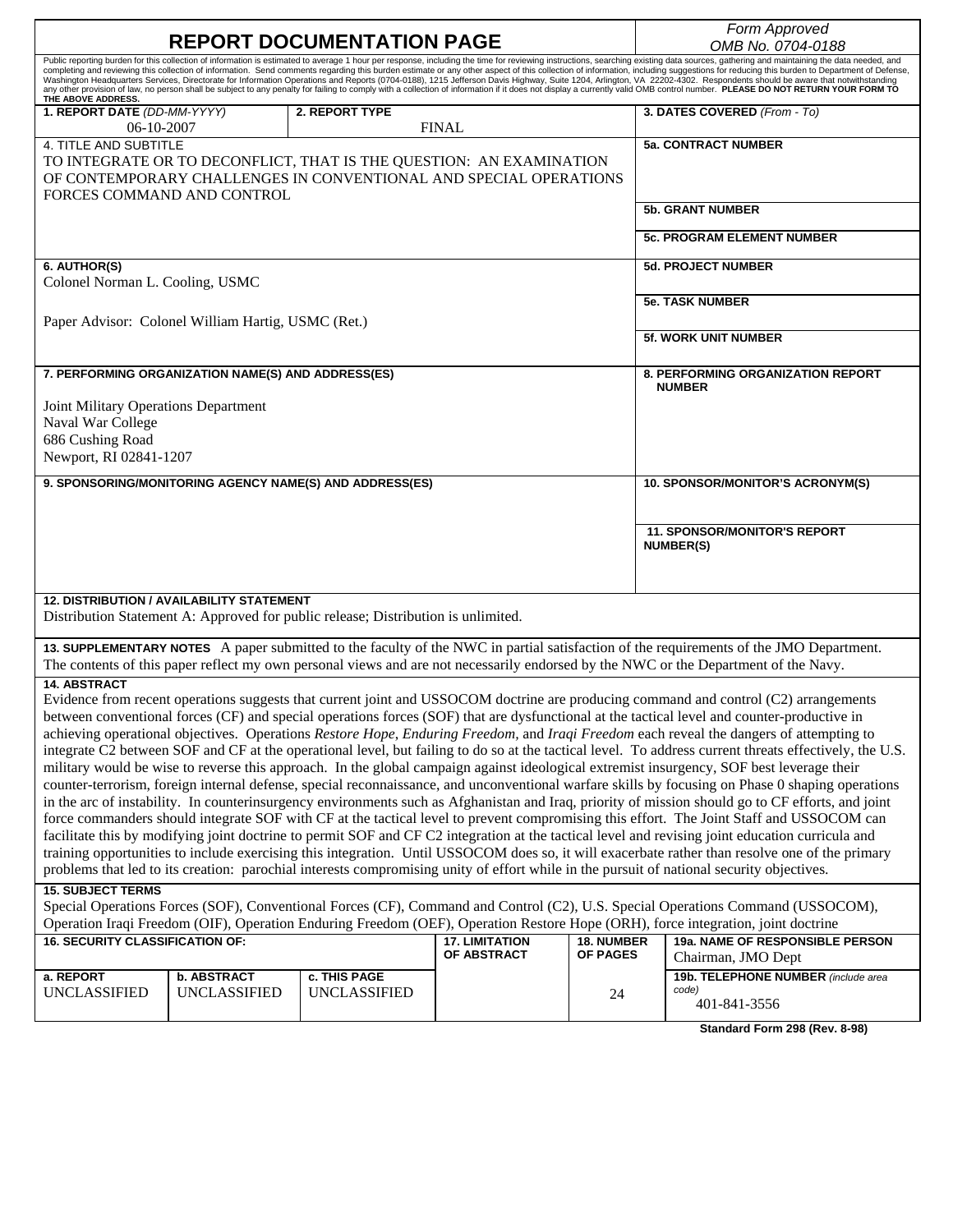| <b>REPORT DOCUMENTATION PAGE</b>                                                                                                                                                                                                                                                                                                                                                                                                                                                                                                                                                                                                                                                                                                                                                                                                                                                                                                                                                                                                                                                                                                                                                                                                                                                                                                                                                                                                                                                                                                                                                                                                                                                                                                                                                                                                     |                                                    |                                                         |                       |                        | Form Approved<br>OMB No. 0704-0188                                                                                                                                                                                                                                                                                                                                                                                                                                                                                                                                                                                                                                                                    |  |
|--------------------------------------------------------------------------------------------------------------------------------------------------------------------------------------------------------------------------------------------------------------------------------------------------------------------------------------------------------------------------------------------------------------------------------------------------------------------------------------------------------------------------------------------------------------------------------------------------------------------------------------------------------------------------------------------------------------------------------------------------------------------------------------------------------------------------------------------------------------------------------------------------------------------------------------------------------------------------------------------------------------------------------------------------------------------------------------------------------------------------------------------------------------------------------------------------------------------------------------------------------------------------------------------------------------------------------------------------------------------------------------------------------------------------------------------------------------------------------------------------------------------------------------------------------------------------------------------------------------------------------------------------------------------------------------------------------------------------------------------------------------------------------------------------------------------------------------|----------------------------------------------------|---------------------------------------------------------|-----------------------|------------------------|-------------------------------------------------------------------------------------------------------------------------------------------------------------------------------------------------------------------------------------------------------------------------------------------------------------------------------------------------------------------------------------------------------------------------------------------------------------------------------------------------------------------------------------------------------------------------------------------------------------------------------------------------------------------------------------------------------|--|
| THE ABOVE ADDRESS.                                                                                                                                                                                                                                                                                                                                                                                                                                                                                                                                                                                                                                                                                                                                                                                                                                                                                                                                                                                                                                                                                                                                                                                                                                                                                                                                                                                                                                                                                                                                                                                                                                                                                                                                                                                                                   |                                                    |                                                         |                       |                        | Public reporting burden for this collection of information is estimated to average 1 hour per response, including the time for reviewing instructions, searching existing data sources, gathering and maintaining the data nee<br>completing and reviewing this collection of information. Send comments regarding this burden estimate or any other aspect of this collection of information, including suggestions for reducing this burden to Department of D<br>Washington Headquarters Services, Directorate for Information Operations and Reports (0704-0188), 1215 Jefferson Davis Highway, Suite 1204, Arlington, VA 22202-4302. Respondents should be aware that notwithstanding<br>any oth |  |
| 1. REPORT DATE (DD-MM-YYYY)                                                                                                                                                                                                                                                                                                                                                                                                                                                                                                                                                                                                                                                                                                                                                                                                                                                                                                                                                                                                                                                                                                                                                                                                                                                                                                                                                                                                                                                                                                                                                                                                                                                                                                                                                                                                          |                                                    | 2. REPORT TYPE                                          | <b>FINAL</b>          |                        | 3. DATES COVERED (From - To)                                                                                                                                                                                                                                                                                                                                                                                                                                                                                                                                                                                                                                                                          |  |
| 06-10-2007<br>4. TITLE AND SUBTITLE<br>TO INTEGRATE OR TO DECONFLICT, THAT IS THE QUESTION: AN EXAMINATION<br>OF CONTEMPORARY CHALLENGES IN CONVENTIONAL AND SPECIAL OPERATIONS                                                                                                                                                                                                                                                                                                                                                                                                                                                                                                                                                                                                                                                                                                                                                                                                                                                                                                                                                                                                                                                                                                                                                                                                                                                                                                                                                                                                                                                                                                                                                                                                                                                      |                                                    |                                                         |                       |                        | <b>5a. CONTRACT NUMBER</b>                                                                                                                                                                                                                                                                                                                                                                                                                                                                                                                                                                                                                                                                            |  |
| FORCES COMMAND AND CONTROL                                                                                                                                                                                                                                                                                                                                                                                                                                                                                                                                                                                                                                                                                                                                                                                                                                                                                                                                                                                                                                                                                                                                                                                                                                                                                                                                                                                                                                                                                                                                                                                                                                                                                                                                                                                                           |                                                    |                                                         |                       |                        | <b>5b. GRANT NUMBER</b>                                                                                                                                                                                                                                                                                                                                                                                                                                                                                                                                                                                                                                                                               |  |
|                                                                                                                                                                                                                                                                                                                                                                                                                                                                                                                                                                                                                                                                                                                                                                                                                                                                                                                                                                                                                                                                                                                                                                                                                                                                                                                                                                                                                                                                                                                                                                                                                                                                                                                                                                                                                                      |                                                    |                                                         |                       |                        | <b>5c. PROGRAM ELEMENT NUMBER</b>                                                                                                                                                                                                                                                                                                                                                                                                                                                                                                                                                                                                                                                                     |  |
| 6. AUTHOR(S)<br>Colonel Norman L. Cooling, USMC                                                                                                                                                                                                                                                                                                                                                                                                                                                                                                                                                                                                                                                                                                                                                                                                                                                                                                                                                                                                                                                                                                                                                                                                                                                                                                                                                                                                                                                                                                                                                                                                                                                                                                                                                                                      |                                                    |                                                         |                       |                        | <b>5d. PROJECT NUMBER</b>                                                                                                                                                                                                                                                                                                                                                                                                                                                                                                                                                                                                                                                                             |  |
| Paper Advisor: Colonel William Hartig, USMC (Ret.)                                                                                                                                                                                                                                                                                                                                                                                                                                                                                                                                                                                                                                                                                                                                                                                                                                                                                                                                                                                                                                                                                                                                                                                                                                                                                                                                                                                                                                                                                                                                                                                                                                                                                                                                                                                   |                                                    |                                                         |                       | <b>5e. TASK NUMBER</b> |                                                                                                                                                                                                                                                                                                                                                                                                                                                                                                                                                                                                                                                                                                       |  |
|                                                                                                                                                                                                                                                                                                                                                                                                                                                                                                                                                                                                                                                                                                                                                                                                                                                                                                                                                                                                                                                                                                                                                                                                                                                                                                                                                                                                                                                                                                                                                                                                                                                                                                                                                                                                                                      |                                                    |                                                         |                       |                        | 5f. WORK UNIT NUMBER                                                                                                                                                                                                                                                                                                                                                                                                                                                                                                                                                                                                                                                                                  |  |
|                                                                                                                                                                                                                                                                                                                                                                                                                                                                                                                                                                                                                                                                                                                                                                                                                                                                                                                                                                                                                                                                                                                                                                                                                                                                                                                                                                                                                                                                                                                                                                                                                                                                                                                                                                                                                                      | 7. PERFORMING ORGANIZATION NAME(S) AND ADDRESS(ES) |                                                         |                       |                        | 8. PERFORMING ORGANIZATION REPORT<br><b>NUMBER</b>                                                                                                                                                                                                                                                                                                                                                                                                                                                                                                                                                                                                                                                    |  |
| Joint Military Operations Department<br>Naval War College<br>686 Cushing Road<br>Newport, RI 02841-1207                                                                                                                                                                                                                                                                                                                                                                                                                                                                                                                                                                                                                                                                                                                                                                                                                                                                                                                                                                                                                                                                                                                                                                                                                                                                                                                                                                                                                                                                                                                                                                                                                                                                                                                              |                                                    |                                                         |                       |                        |                                                                                                                                                                                                                                                                                                                                                                                                                                                                                                                                                                                                                                                                                                       |  |
|                                                                                                                                                                                                                                                                                                                                                                                                                                                                                                                                                                                                                                                                                                                                                                                                                                                                                                                                                                                                                                                                                                                                                                                                                                                                                                                                                                                                                                                                                                                                                                                                                                                                                                                                                                                                                                      |                                                    | 9. SPONSORING/MONITORING AGENCY NAME(S) AND ADDRESS(ES) |                       |                        | 10. SPONSOR/MONITOR'S ACRONYM(S)                                                                                                                                                                                                                                                                                                                                                                                                                                                                                                                                                                                                                                                                      |  |
|                                                                                                                                                                                                                                                                                                                                                                                                                                                                                                                                                                                                                                                                                                                                                                                                                                                                                                                                                                                                                                                                                                                                                                                                                                                                                                                                                                                                                                                                                                                                                                                                                                                                                                                                                                                                                                      |                                                    |                                                         |                       |                        | 11. SPONSOR/MONITOR'S REPORT<br><b>NUMBER(S)</b>                                                                                                                                                                                                                                                                                                                                                                                                                                                                                                                                                                                                                                                      |  |
| <b>12. DISTRIBUTION / AVAILABILITY STATEMENT</b><br>Distribution Statement A: Approved for public release; Distribution is unlimited.                                                                                                                                                                                                                                                                                                                                                                                                                                                                                                                                                                                                                                                                                                                                                                                                                                                                                                                                                                                                                                                                                                                                                                                                                                                                                                                                                                                                                                                                                                                                                                                                                                                                                                |                                                    |                                                         |                       |                        |                                                                                                                                                                                                                                                                                                                                                                                                                                                                                                                                                                                                                                                                                                       |  |
| 13. SUPPLEMENTARY NOTES A paper submitted to the faculty of the NWC in partial satisfaction of the requirements of the JMO Department.<br>The contents of this paper reflect my own personal views and are not necessarily endorsed by the NWC or the Department of the Navy.                                                                                                                                                                                                                                                                                                                                                                                                                                                                                                                                                                                                                                                                                                                                                                                                                                                                                                                                                                                                                                                                                                                                                                                                                                                                                                                                                                                                                                                                                                                                                        |                                                    |                                                         |                       |                        |                                                                                                                                                                                                                                                                                                                                                                                                                                                                                                                                                                                                                                                                                                       |  |
| <b>14. ABSTRACT</b><br>Evidence from recent operations suggests that current joint and USSOCOM doctrine are producing command and control (C2) arrangements<br>between conventional forces (CF) and special operations forces (SOF) that are dysfunctional at the tactical level and counter-productive in<br>achieving operational objectives. Operations Restore Hope, Enduring Freedom, and Iraqi Freedom each reveal the dangers of attempting to<br>integrate C2 between SOF and CF at the operational level, but failing to do so at the tactical level. To address current threats effectively, the U.S.<br>military would be wise to reverse this approach. In the global campaign against ideological extremist insurgency, SOF best leverage their<br>counter-terrorism, foreign internal defense, special reconnaissance, and unconventional warfare skills by focusing on Phase 0 shaping operations<br>in the arc of instability. In counterinsurgency environments such as Afghanistan and Iraq, priority of mission should go to CF efforts, and joint<br>force commanders should integrate SOF with CF at the tactical level to prevent compromising this effort. The Joint Staff and USSOCOM can<br>facilitate this by modifying joint doctrine to permit SOF and CF C2 integration at the tactical level and revising joint education curricula and<br>training opportunities to include exercising this integration. Until USSOCOM does so, it will exacerbate rather than resolve one of the primary<br>problems that led to its creation: parochial interests compromising unity of effort while in the pursuit of national security objectives.<br><b>15. SUBJECT TERMS</b><br>Special Operations Forces (SOF), Conventional Forces (CF), Command and Control (C2), U.S. Special Operations Command (USSOCOM), |                                                    |                                                         |                       |                        |                                                                                                                                                                                                                                                                                                                                                                                                                                                                                                                                                                                                                                                                                                       |  |
| <b>16. SECURITY CLASSIFICATION OF:</b>                                                                                                                                                                                                                                                                                                                                                                                                                                                                                                                                                                                                                                                                                                                                                                                                                                                                                                                                                                                                                                                                                                                                                                                                                                                                                                                                                                                                                                                                                                                                                                                                                                                                                                                                                                                               |                                                    |                                                         | <b>17. LIMITATION</b> | <b>18. NUMBER</b>      | Operation Iraqi Freedom (OIF), Operation Enduring Freedom (OEF), Operation Restore Hope (ORH), force integration, joint doctrine<br>19a. NAME OF RESPONSIBLE PERSON                                                                                                                                                                                                                                                                                                                                                                                                                                                                                                                                   |  |
| a. REPORT<br><b>UNCLASSIFIED</b>                                                                                                                                                                                                                                                                                                                                                                                                                                                                                                                                                                                                                                                                                                                                                                                                                                                                                                                                                                                                                                                                                                                                                                                                                                                                                                                                                                                                                                                                                                                                                                                                                                                                                                                                                                                                     | <b>b. ABSTRACT</b><br><b>UNCLASSIFIED</b>          | c. THIS PAGE<br><b>UNCLASSIFIED</b>                     | OF ABSTRACT           | OF PAGES<br>24         | Chairman, JMO Dept<br>19b. TELEPHONE NUMBER (include area<br>code)<br>401-841-3556                                                                                                                                                                                                                                                                                                                                                                                                                                                                                                                                                                                                                    |  |

**Standard Form 298 (Rev. 8-98)**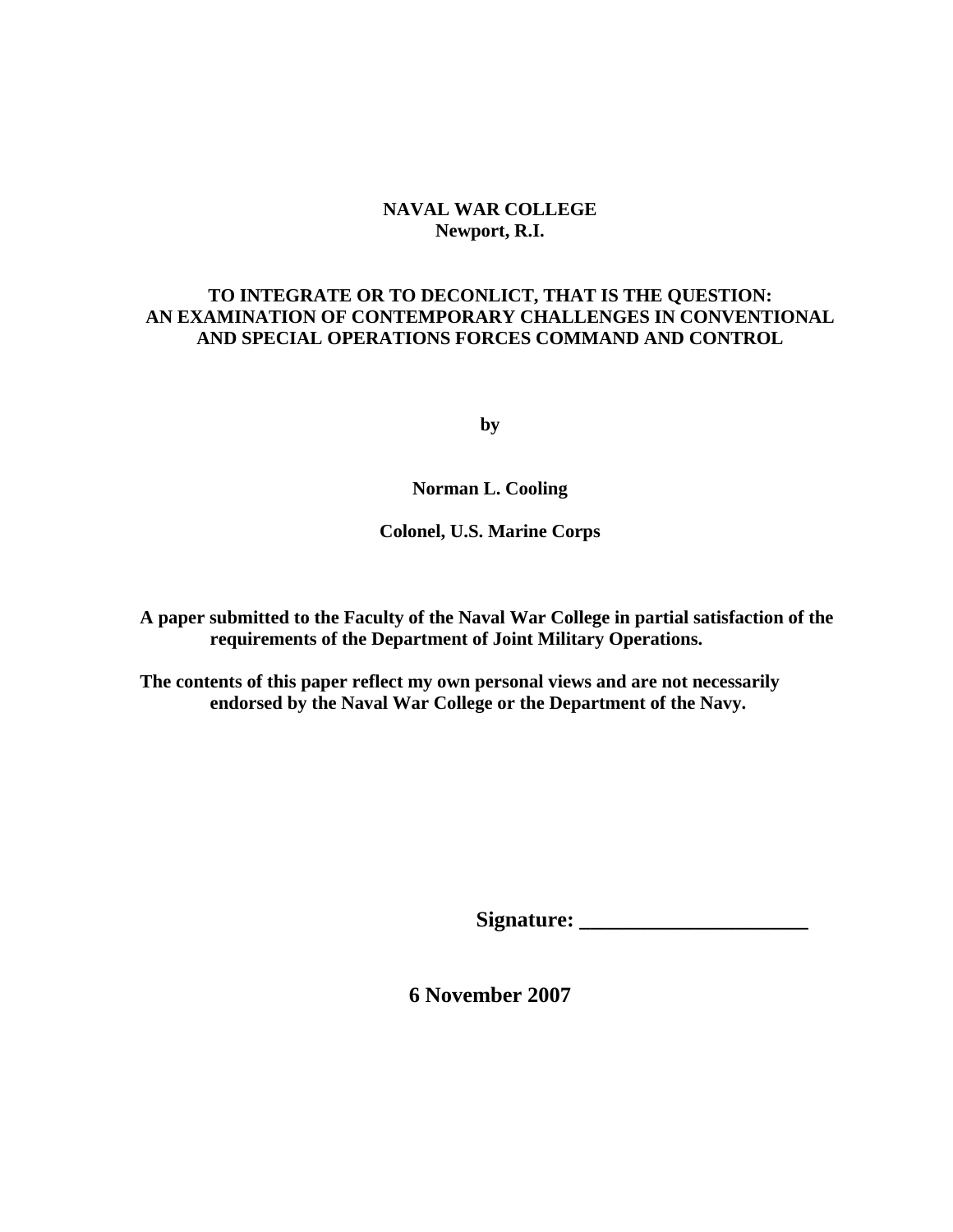# **NAVAL WAR COLLEGE Newport, R.I.**

# **TO INTEGRATE OR TO DECONLICT, THAT IS THE QUESTION: AN EXAMINATION OF CONTEMPORARY CHALLENGES IN CONVENTIONAL AND SPECIAL OPERATIONS FORCES COMMAND AND CONTROL**

**by** 

**Norman L. Cooling** 

**Colonel, U.S. Marine Corps** 

**A paper submitted to the Faculty of the Naval War College in partial satisfaction of the requirements of the Department of Joint Military Operations.** 

**The contents of this paper reflect my own personal views and are not necessarily endorsed by the Naval War College or the Department of the Navy.** 

**Signature: \_\_\_\_\_\_\_\_\_\_\_\_\_\_\_\_\_\_\_\_\_** 

**6 November 2007**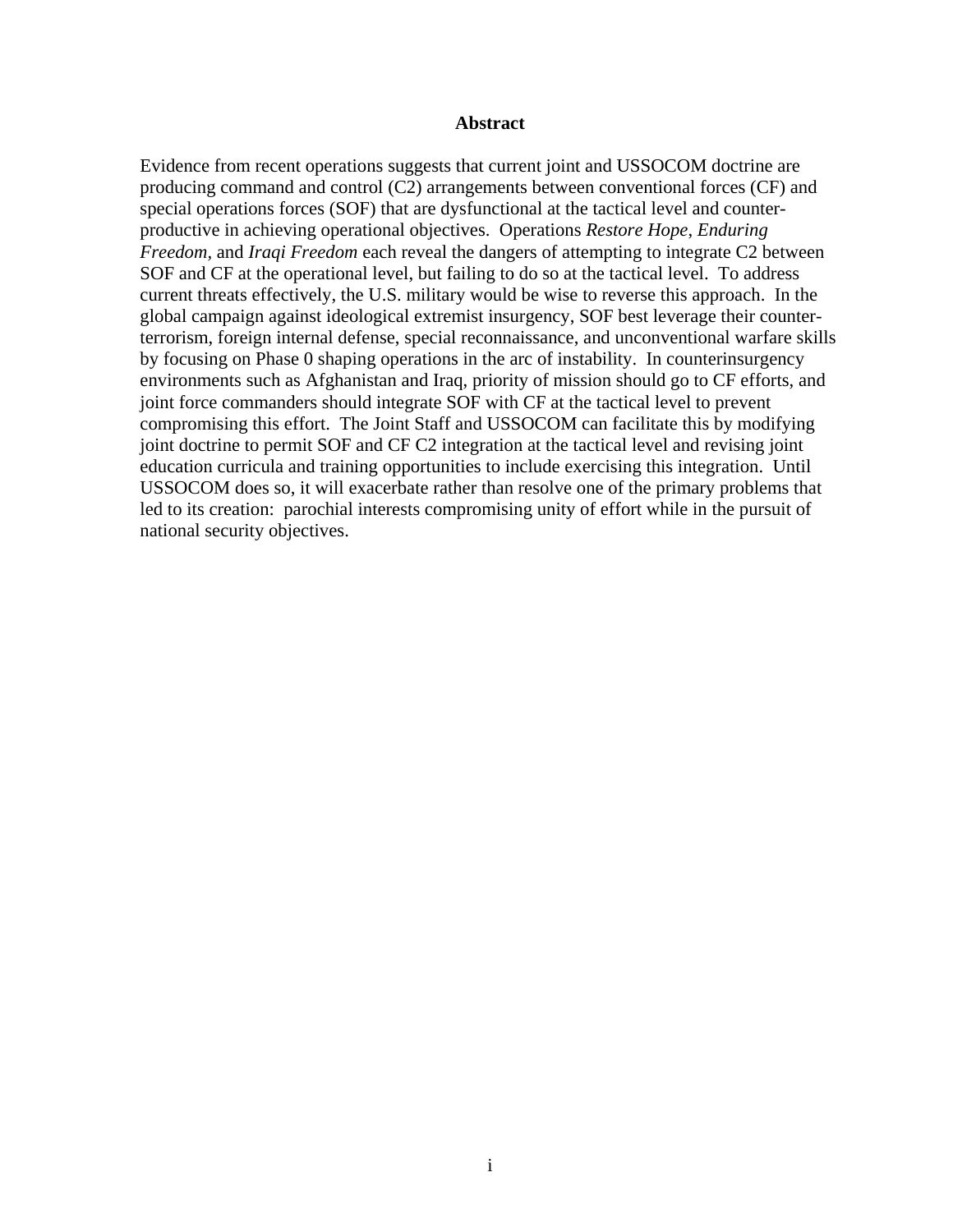## **Abstract**

Evidence from recent operations suggests that current joint and USSOCOM doctrine are producing command and control (C2) arrangements between conventional forces (CF) and special operations forces (SOF) that are dysfunctional at the tactical level and counterproductive in achieving operational objectives. Operations *Restore Hope*, *Enduring Freedom,* and *Iraqi Freedom* each reveal the dangers of attempting to integrate C2 between SOF and CF at the operational level, but failing to do so at the tactical level. To address current threats effectively, the U.S. military would be wise to reverse this approach. In the global campaign against ideological extremist insurgency, SOF best leverage their counterterrorism, foreign internal defense, special reconnaissance, and unconventional warfare skills by focusing on Phase 0 shaping operations in the arc of instability. In counterinsurgency environments such as Afghanistan and Iraq, priority of mission should go to CF efforts, and joint force commanders should integrate SOF with CF at the tactical level to prevent compromising this effort. The Joint Staff and USSOCOM can facilitate this by modifying joint doctrine to permit SOF and CF C2 integration at the tactical level and revising joint education curricula and training opportunities to include exercising this integration. Until USSOCOM does so, it will exacerbate rather than resolve one of the primary problems that led to its creation: parochial interests compromising unity of effort while in the pursuit of national security objectives.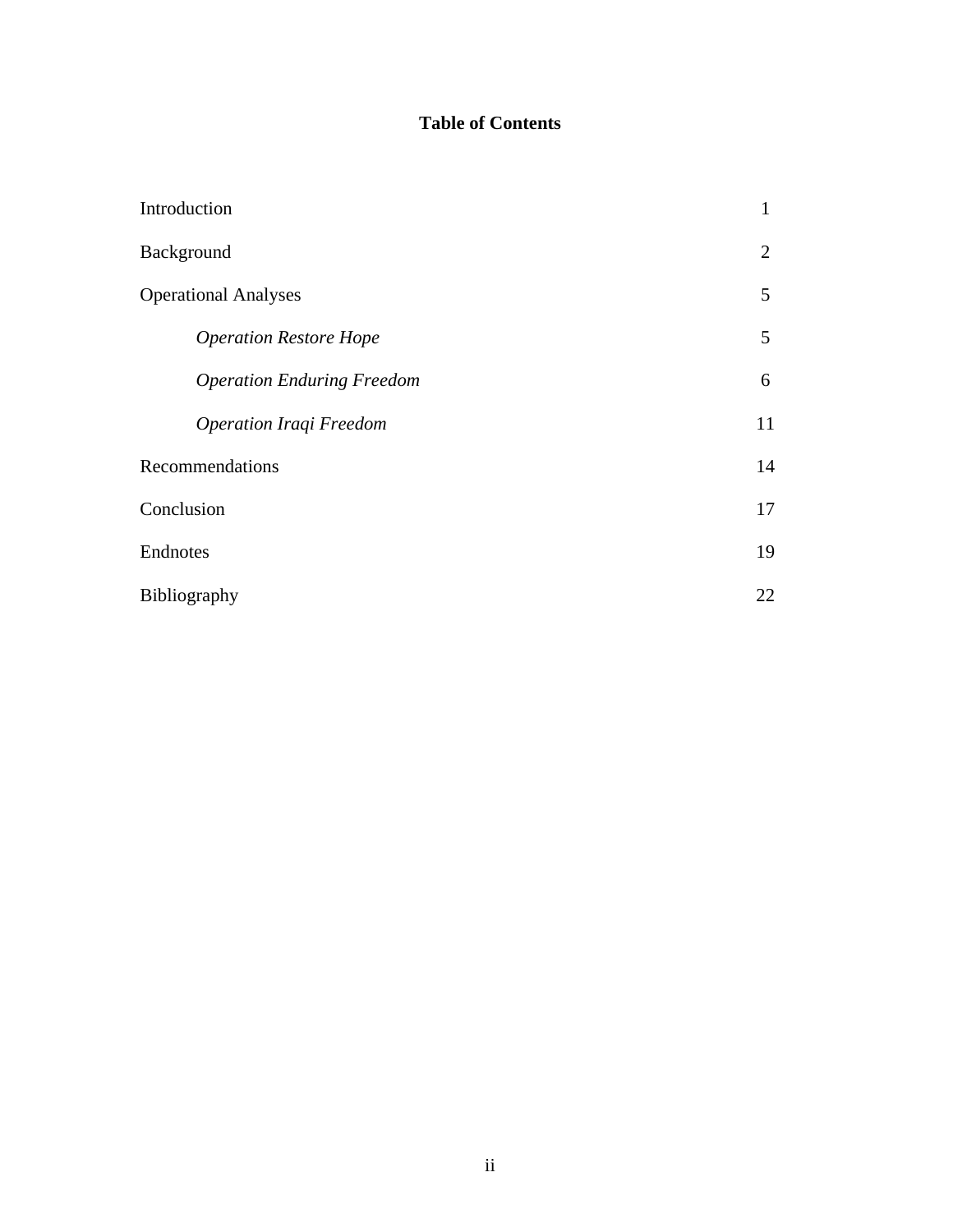# **Table of Contents**

| Introduction                      | $\mathbf{1}$ |  |
|-----------------------------------|--------------|--|
| Background                        |              |  |
| <b>Operational Analyses</b>       |              |  |
| <b>Operation Restore Hope</b>     | 5            |  |
| <b>Operation Enduring Freedom</b> | 6            |  |
| Operation Iraqi Freedom           | 11           |  |
| Recommendations                   |              |  |
| Conclusion                        |              |  |
| Endnotes                          |              |  |
| Bibliography                      |              |  |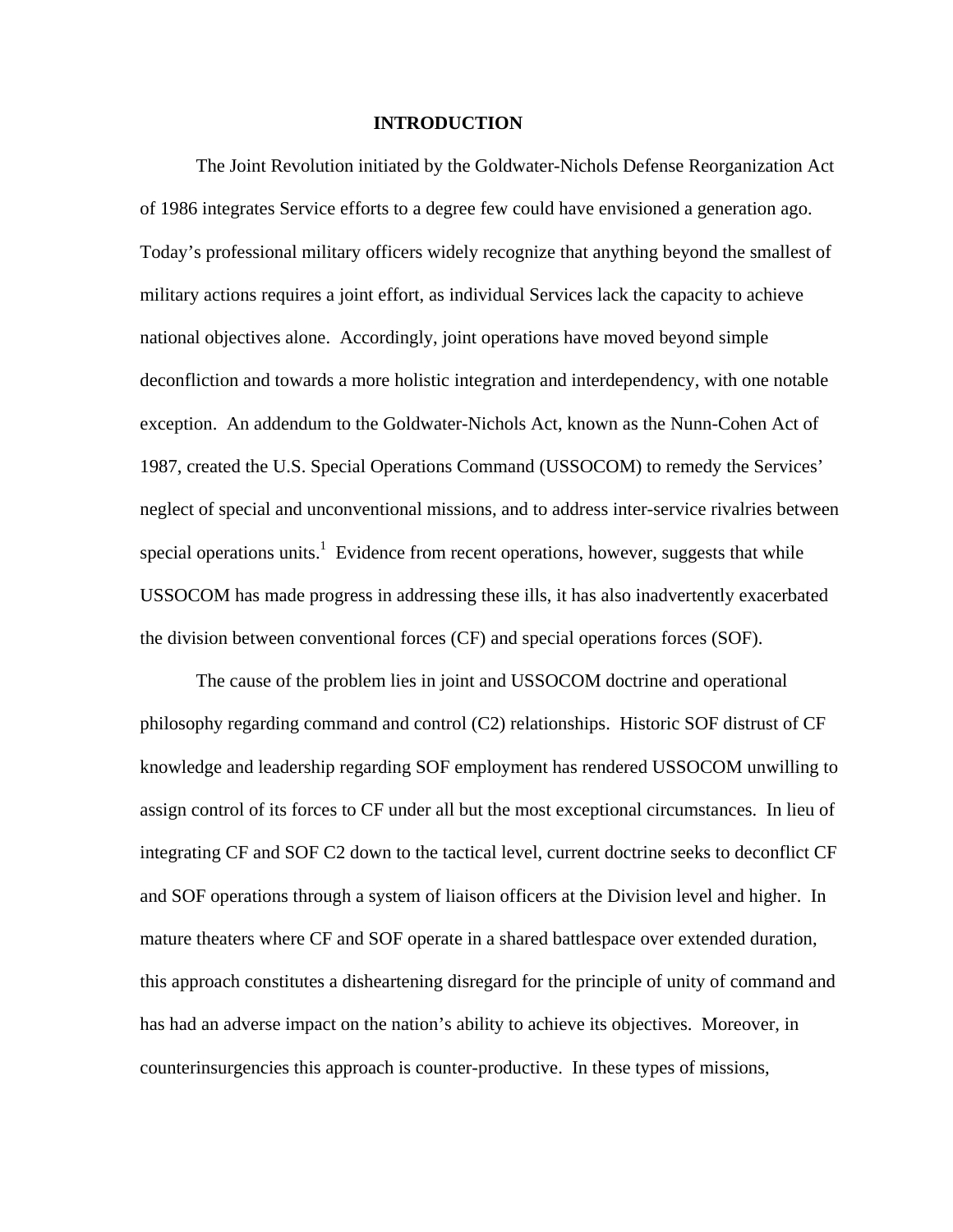#### **INTRODUCTION**

The Joint Revolution initiated by the Goldwater-Nichols Defense Reorganization Act of 1986 integrates Service efforts to a degree few could have envisioned a generation ago. Today's professional military officers widely recognize that anything beyond the smallest of military actions requires a joint effort, as individual Services lack the capacity to achieve national objectives alone. Accordingly, joint operations have moved beyond simple deconfliction and towards a more holistic integration and interdependency, with one notable exception. An addendum to the Goldwater-Nichols Act, known as the Nunn-Cohen Act of 1987, created the U.S. Special Operations Command (USSOCOM) to remedy the Services' neglect of special and unconventional missions, and to address inter-service rivalries between special operations units.<sup>1</sup> Evidence from recent operations, however, suggests that while USSOCOM has made progress in addressing these ills, it has also inadvertently exacerbated the division between conventional forces (CF) and special operations forces (SOF).

The cause of the problem lies in joint and USSOCOM doctrine and operational philosophy regarding command and control (C2) relationships. Historic SOF distrust of CF knowledge and leadership regarding SOF employment has rendered USSOCOM unwilling to assign control of its forces to CF under all but the most exceptional circumstances. In lieu of integrating CF and SOF C2 down to the tactical level, current doctrine seeks to deconflict CF and SOF operations through a system of liaison officers at the Division level and higher. In mature theaters where CF and SOF operate in a shared battlespace over extended duration, this approach constitutes a disheartening disregard for the principle of unity of command and has had an adverse impact on the nation's ability to achieve its objectives. Moreover, in counterinsurgencies this approach is counter-productive. In these types of missions,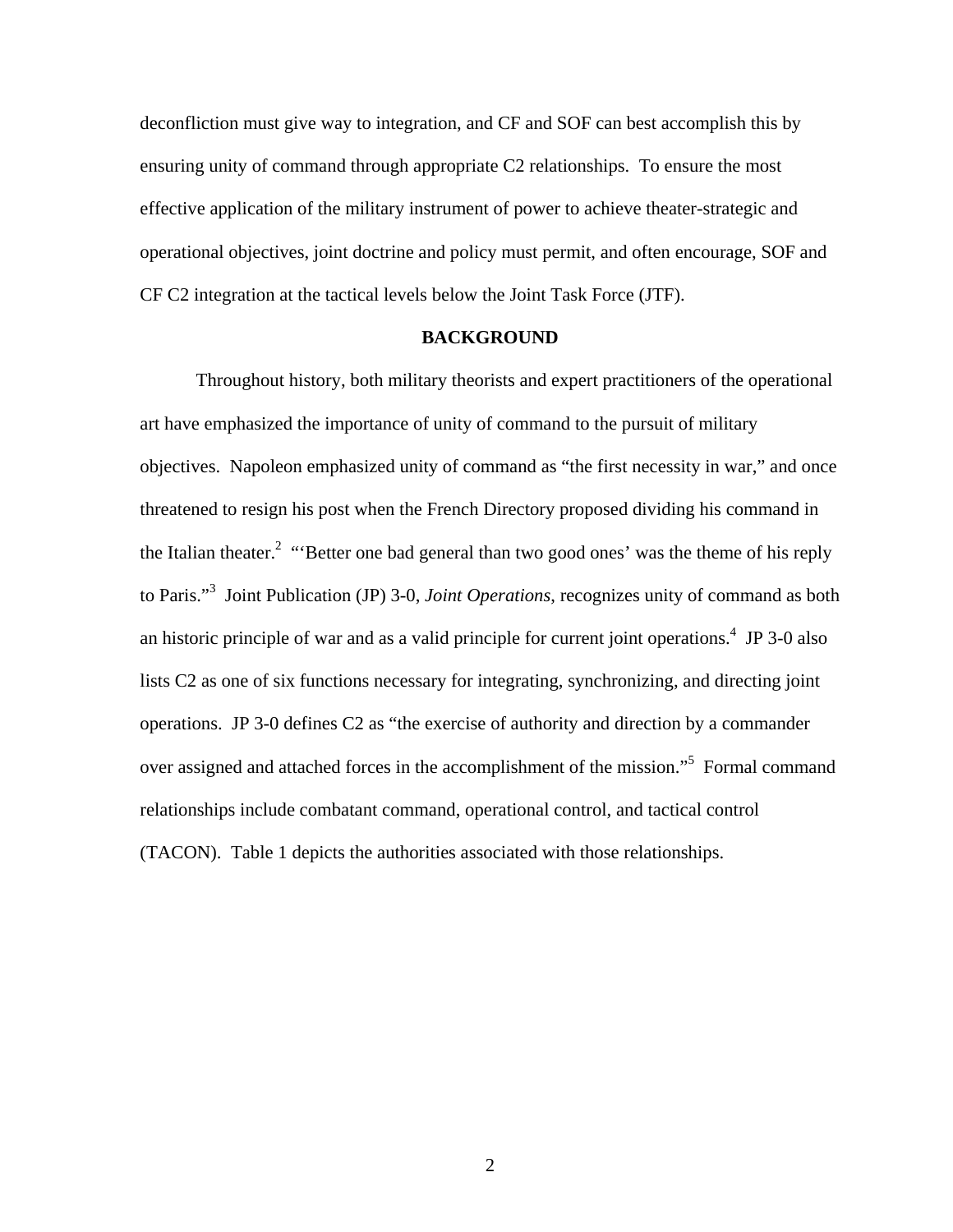deconfliction must give way to integration, and CF and SOF can best accomplish this by ensuring unity of command through appropriate C2 relationships. To ensure the most effective application of the military instrument of power to achieve theater-strategic and operational objectives, joint doctrine and policy must permit, and often encourage, SOF and CF C2 integration at the tactical levels below the Joint Task Force (JTF).

### **BACKGROUND**

 Throughout history, both military theorists and expert practitioners of the operational art have emphasized the importance of unity of command to the pursuit of military objectives. Napoleon emphasized unity of command as "the first necessity in war," and once threatened to resign his post when the French Directory proposed dividing his command in the Italian theater.<sup>2</sup> "Better one bad general than two good ones' was the theme of his reply to Paris."3 Joint Publication (JP) 3-0, *Joint Operations*, recognizes unity of command as both an historic principle of war and as a valid principle for current joint operations.<sup>4</sup> JP 3-0 also lists C2 as one of six functions necessary for integrating, synchronizing, and directing joint operations. JP 3-0 defines C2 as "the exercise of authority and direction by a commander over assigned and attached forces in the accomplishment of the mission."<sup>5</sup> Formal command relationships include combatant command, operational control, and tactical control (TACON). Table 1 depicts the authorities associated with those relationships.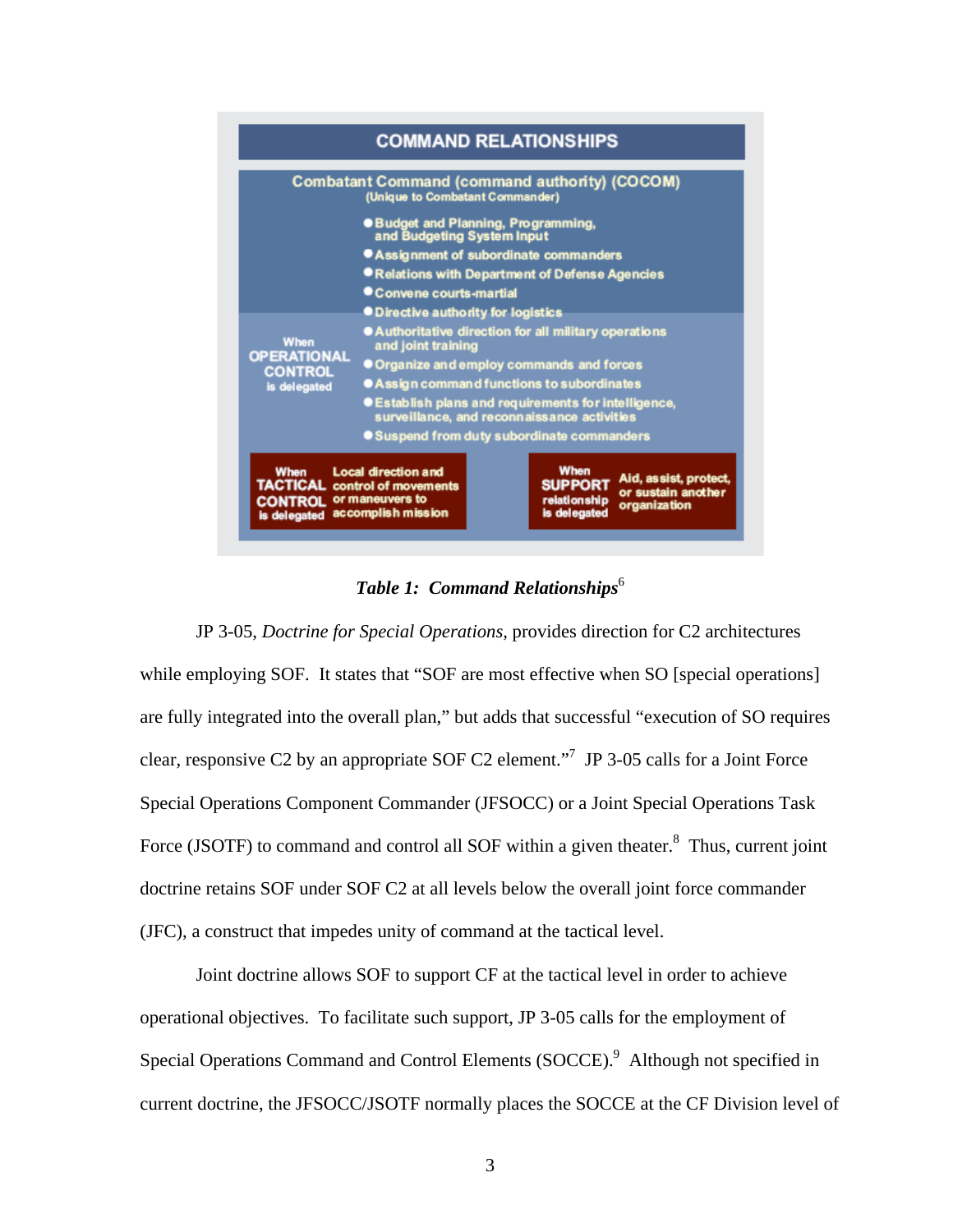

*Table 1: Command Relationships*<sup>6</sup>

JP 3-05, *Doctrine for Special Operations*, provides direction for C2 architectures while employing SOF. It states that "SOF are most effective when SO [special operations] are fully integrated into the overall plan," but adds that successful "execution of SO requires clear, responsive C2 by an appropriate SOF C2 element."7 JP 3-05 calls for a Joint Force Special Operations Component Commander (JFSOCC) or a Joint Special Operations Task Force (JSOTF) to command and control all SOF within a given theater. $8$  Thus, current joint doctrine retains SOF under SOF C2 at all levels below the overall joint force commander (JFC), a construct that impedes unity of command at the tactical level.

Joint doctrine allows SOF to support CF at the tactical level in order to achieve operational objectives. To facilitate such support, JP 3-05 calls for the employment of Special Operations Command and Control Elements (SOCCE).<sup>9</sup> Although not specified in current doctrine, the JFSOCC/JSOTF normally places the SOCCE at the CF Division level of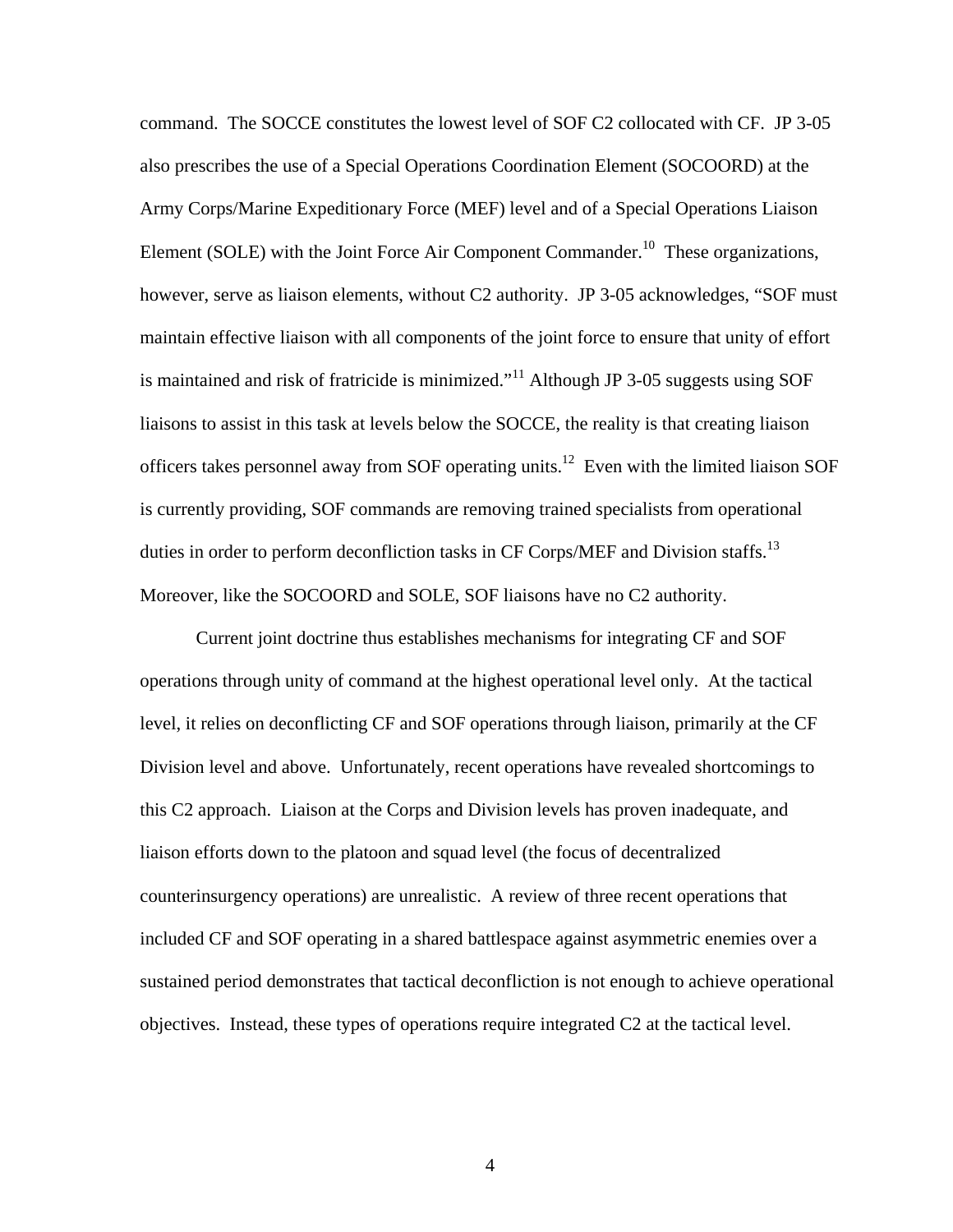command. The SOCCE constitutes the lowest level of SOF C2 collocated with CF. JP 3-05 also prescribes the use of a Special Operations Coordination Element (SOCOORD) at the Army Corps/Marine Expeditionary Force (MEF) level and of a Special Operations Liaison Element (SOLE) with the Joint Force Air Component Commander.<sup>10</sup> These organizations, however, serve as liaison elements, without C2 authority. JP 3-05 acknowledges, "SOF must maintain effective liaison with all components of the joint force to ensure that unity of effort is maintained and risk of fratricide is minimized."<sup>11</sup> Although JP 3-05 suggests using SOF liaisons to assist in this task at levels below the SOCCE, the reality is that creating liaison officers takes personnel away from SOF operating units.12 Even with the limited liaison SOF is currently providing, SOF commands are removing trained specialists from operational duties in order to perform deconfliction tasks in CF Corps/MEF and Division staffs.<sup>13</sup> Moreover, like the SOCOORD and SOLE, SOF liaisons have no C2 authority.

Current joint doctrine thus establishes mechanisms for integrating CF and SOF operations through unity of command at the highest operational level only. At the tactical level, it relies on deconflicting CF and SOF operations through liaison, primarily at the CF Division level and above. Unfortunately, recent operations have revealed shortcomings to this C2 approach. Liaison at the Corps and Division levels has proven inadequate, and liaison efforts down to the platoon and squad level (the focus of decentralized counterinsurgency operations) are unrealistic. A review of three recent operations that included CF and SOF operating in a shared battlespace against asymmetric enemies over a sustained period demonstrates that tactical deconfliction is not enough to achieve operational objectives. Instead, these types of operations require integrated C2 at the tactical level.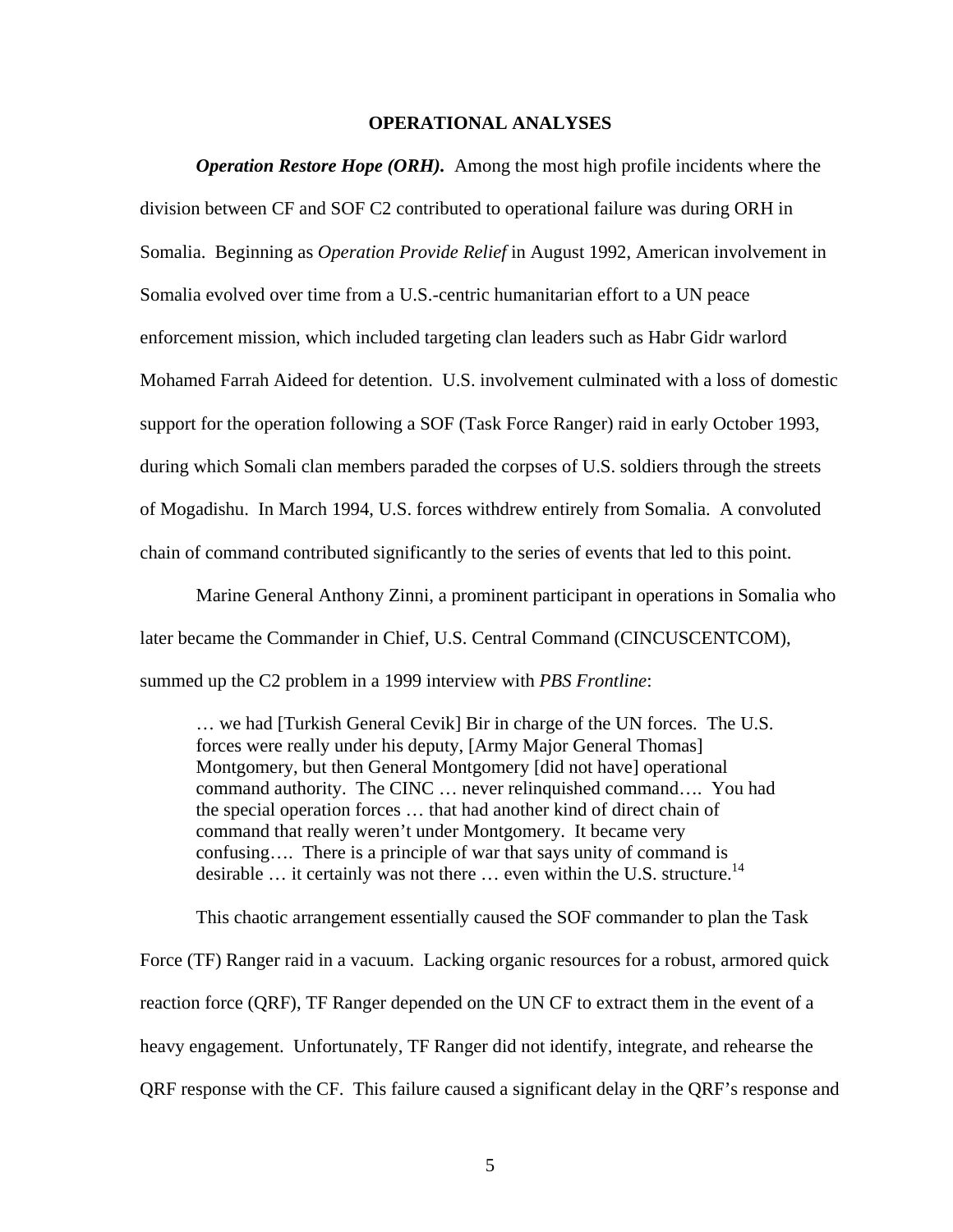## **OPERATIONAL ANALYSES**

*Operation Restore Hope (ORH).* Among the most high profile incidents where the division between CF and SOF C2 contributed to operational failure was during ORH in Somalia. Beginning as *Operation Provide Relief* in August 1992, American involvement in Somalia evolved over time from a U.S.-centric humanitarian effort to a UN peace enforcement mission, which included targeting clan leaders such as Habr Gidr warlord Mohamed Farrah Aideed for detention. U.S. involvement culminated with a loss of domestic support for the operation following a SOF (Task Force Ranger) raid in early October 1993, during which Somali clan members paraded the corpses of U.S. soldiers through the streets of Mogadishu. In March 1994, U.S. forces withdrew entirely from Somalia. A convoluted chain of command contributed significantly to the series of events that led to this point.

Marine General Anthony Zinni, a prominent participant in operations in Somalia who later became the Commander in Chief, U.S. Central Command (CINCUSCENTCOM), summed up the C2 problem in a 1999 interview with *PBS Frontline*:

… we had [Turkish General Cevik] Bir in charge of the UN forces. The U.S. forces were really under his deputy, [Army Major General Thomas] Montgomery, but then General Montgomery [did not have] operational command authority. The CINC … never relinquished command…. You had the special operation forces … that had another kind of direct chain of command that really weren't under Montgomery. It became very confusing…. There is a principle of war that says unity of command is desirable ... it certainly was not there ... even within the U.S. structure.<sup>14</sup>

This chaotic arrangement essentially caused the SOF commander to plan the Task

Force (TF) Ranger raid in a vacuum. Lacking organic resources for a robust, armored quick reaction force (QRF), TF Ranger depended on the UN CF to extract them in the event of a heavy engagement. Unfortunately, TF Ranger did not identify, integrate, and rehearse the QRF response with the CF. This failure caused a significant delay in the QRF's response and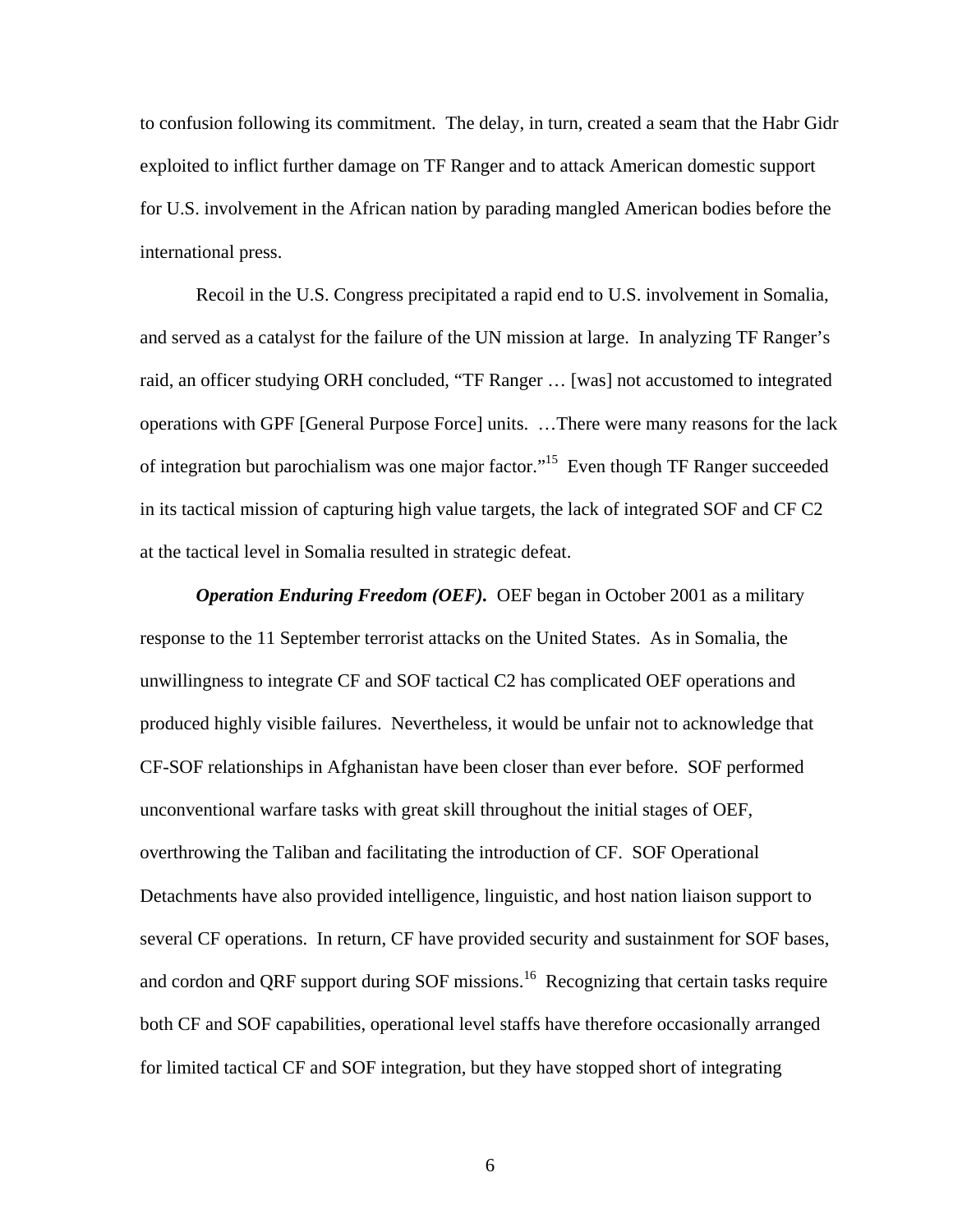to confusion following its commitment. The delay, in turn, created a seam that the Habr Gidr exploited to inflict further damage on TF Ranger and to attack American domestic support for U.S. involvement in the African nation by parading mangled American bodies before the international press.

Recoil in the U.S. Congress precipitated a rapid end to U.S. involvement in Somalia, and served as a catalyst for the failure of the UN mission at large. In analyzing TF Ranger's raid, an officer studying ORH concluded, "TF Ranger … [was] not accustomed to integrated operations with GPF [General Purpose Force] units. …There were many reasons for the lack of integration but parochialism was one major factor."<sup>15</sup> Even though TF Ranger succeeded in its tactical mission of capturing high value targets, the lack of integrated SOF and CF C2 at the tactical level in Somalia resulted in strategic defeat.

*Operation Enduring Freedom (OEF).* OEF began in October 2001 as a military response to the 11 September terrorist attacks on the United States. As in Somalia, the unwillingness to integrate CF and SOF tactical C2 has complicated OEF operations and produced highly visible failures. Nevertheless, it would be unfair not to acknowledge that CF-SOF relationships in Afghanistan have been closer than ever before. SOF performed unconventional warfare tasks with great skill throughout the initial stages of OEF, overthrowing the Taliban and facilitating the introduction of CF. SOF Operational Detachments have also provided intelligence, linguistic, and host nation liaison support to several CF operations. In return, CF have provided security and sustainment for SOF bases, and cordon and QRF support during SOF missions.<sup>16</sup> Recognizing that certain tasks require both CF and SOF capabilities, operational level staffs have therefore occasionally arranged for limited tactical CF and SOF integration, but they have stopped short of integrating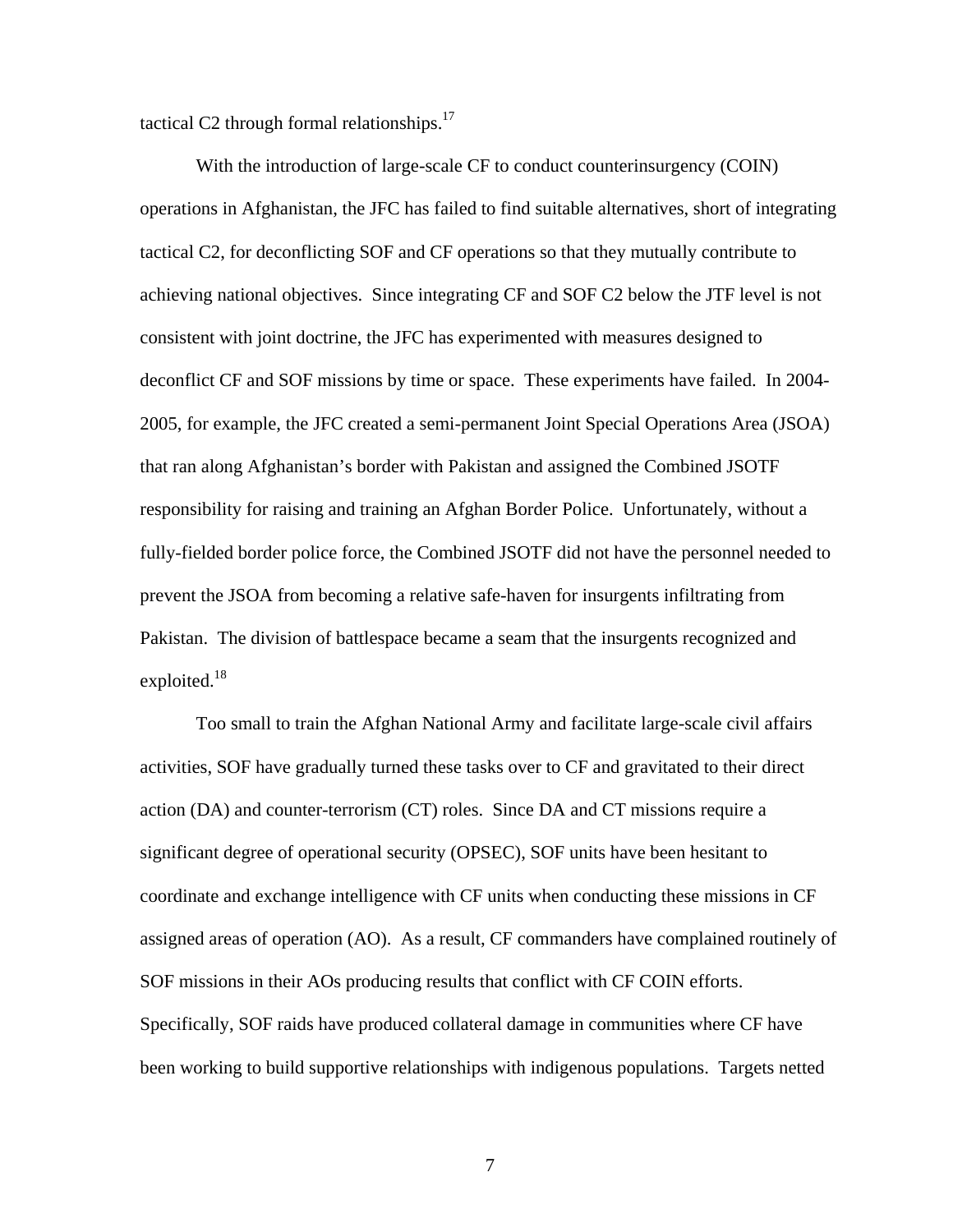tactical C2 through formal relationships. $17$ 

With the introduction of large-scale CF to conduct counterinsurgency (COIN) operations in Afghanistan, the JFC has failed to find suitable alternatives, short of integrating tactical C2, for deconflicting SOF and CF operations so that they mutually contribute to achieving national objectives. Since integrating CF and SOF C2 below the JTF level is not consistent with joint doctrine, the JFC has experimented with measures designed to deconflict CF and SOF missions by time or space. These experiments have failed. In 2004- 2005, for example, the JFC created a semi-permanent Joint Special Operations Area (JSOA) that ran along Afghanistan's border with Pakistan and assigned the Combined JSOTF responsibility for raising and training an Afghan Border Police. Unfortunately, without a fully-fielded border police force, the Combined JSOTF did not have the personnel needed to prevent the JSOA from becoming a relative safe-haven for insurgents infiltrating from Pakistan. The division of battlespace became a seam that the insurgents recognized and exploited. $18$ 

Too small to train the Afghan National Army and facilitate large-scale civil affairs activities, SOF have gradually turned these tasks over to CF and gravitated to their direct action (DA) and counter-terrorism (CT) roles. Since DA and CT missions require a significant degree of operational security (OPSEC), SOF units have been hesitant to coordinate and exchange intelligence with CF units when conducting these missions in CF assigned areas of operation (AO). As a result, CF commanders have complained routinely of SOF missions in their AOs producing results that conflict with CF COIN efforts. Specifically, SOF raids have produced collateral damage in communities where CF have been working to build supportive relationships with indigenous populations. Targets netted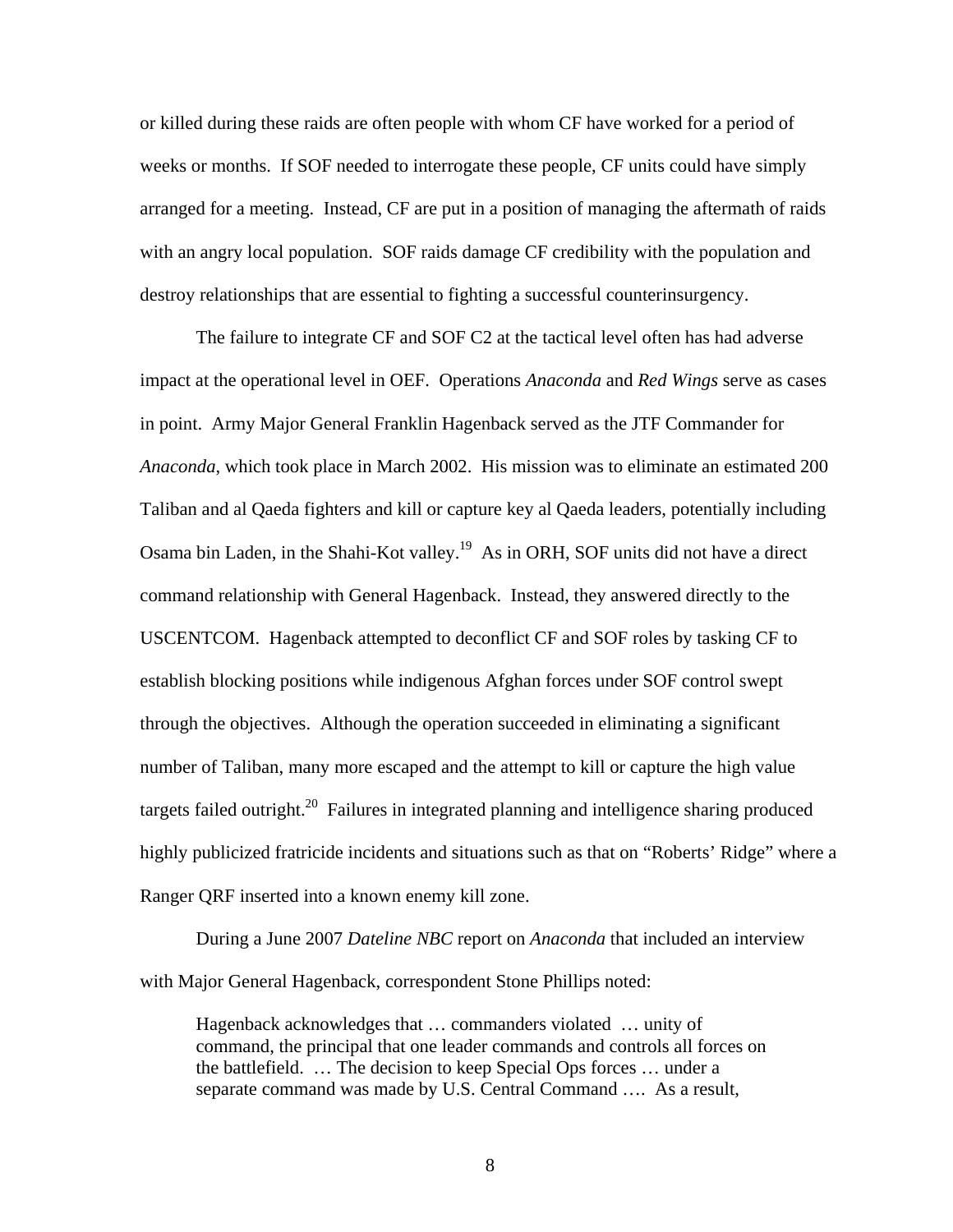or killed during these raids are often people with whom CF have worked for a period of weeks or months. If SOF needed to interrogate these people, CF units could have simply arranged for a meeting. Instead, CF are put in a position of managing the aftermath of raids with an angry local population. SOF raids damage CF credibility with the population and destroy relationships that are essential to fighting a successful counterinsurgency.

The failure to integrate CF and SOF C2 at the tactical level often has had adverse impact at the operational level in OEF. Operations *Anaconda* and *Red Wings* serve as cases in point. Army Major General Franklin Hagenback served as the JTF Commander for *Anaconda*, which took place in March 2002. His mission was to eliminate an estimated 200 Taliban and al Qaeda fighters and kill or capture key al Qaeda leaders, potentially including Osama bin Laden, in the Shahi-Kot valley.19 As in ORH, SOF units did not have a direct command relationship with General Hagenback. Instead, they answered directly to the USCENTCOM. Hagenback attempted to deconflict CF and SOF roles by tasking CF to establish blocking positions while indigenous Afghan forces under SOF control swept through the objectives. Although the operation succeeded in eliminating a significant number of Taliban, many more escaped and the attempt to kill or capture the high value targets failed outright.<sup>20</sup> Failures in integrated planning and intelligence sharing produced highly publicized fratricide incidents and situations such as that on "Roberts' Ridge" where a Ranger QRF inserted into a known enemy kill zone.

During a June 2007 *Dateline NBC* report on *Anaconda* that included an interview with Major General Hagenback, correspondent Stone Phillips noted:

Hagenback acknowledges that … commanders violated … unity of command, the principal that one leader commands and controls all forces on the battlefield. … The decision to keep Special Ops forces … under a separate command was made by U.S. Central Command …. As a result,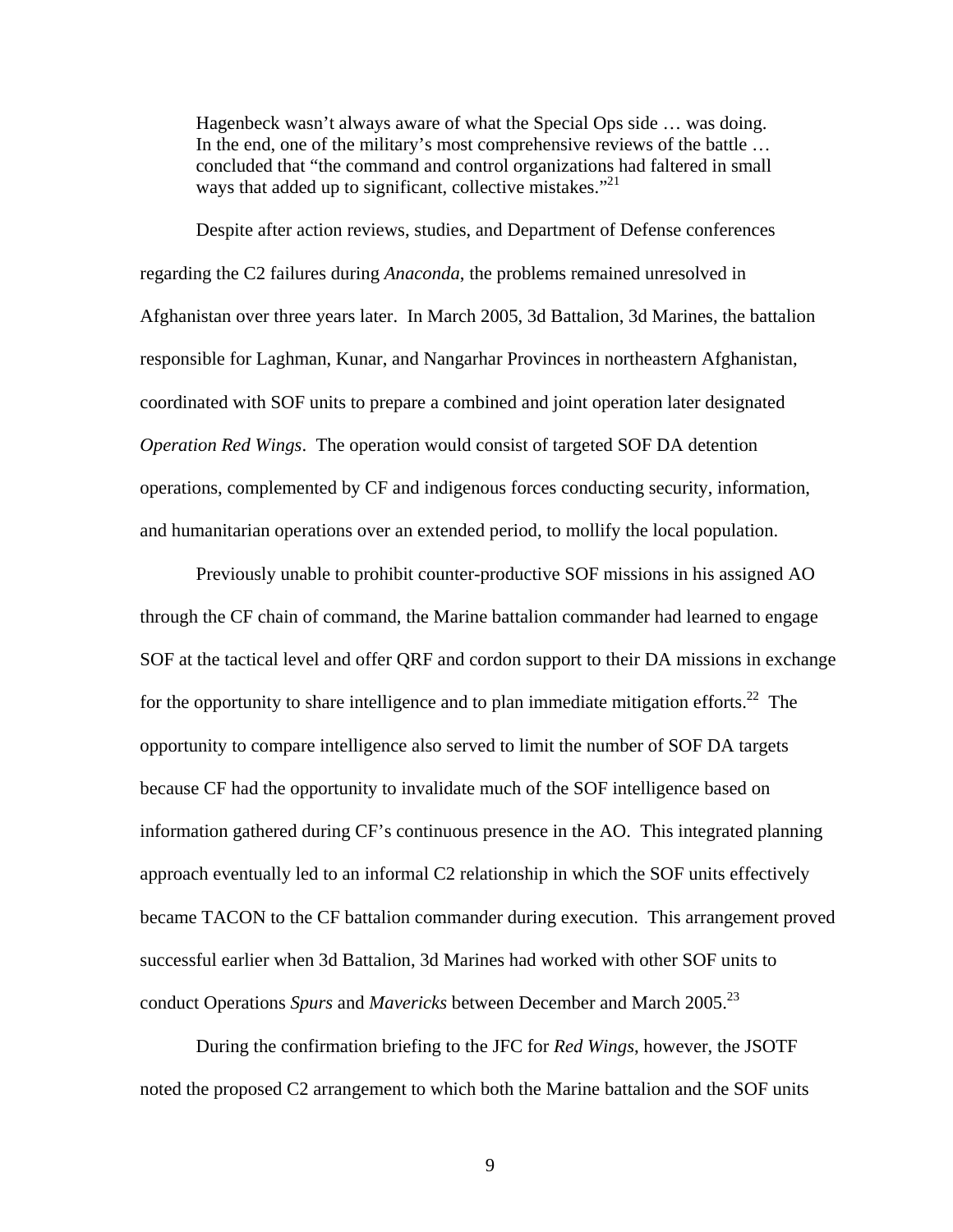Hagenbeck wasn't always aware of what the Special Ops side … was doing. In the end, one of the military's most comprehensive reviews of the battle … concluded that "the command and control organizations had faltered in small ways that added up to significant, collective mistakes."<sup>21</sup>

 Despite after action reviews, studies, and Department of Defense conferences regarding the C2 failures during *Anaconda*, the problems remained unresolved in Afghanistan over three years later. In March 2005, 3d Battalion, 3d Marines, the battalion responsible for Laghman, Kunar, and Nangarhar Provinces in northeastern Afghanistan, coordinated with SOF units to prepare a combined and joint operation later designated *Operation Red Wings*. The operation would consist of targeted SOF DA detention operations, complemented by CF and indigenous forces conducting security, information, and humanitarian operations over an extended period, to mollify the local population.

Previously unable to prohibit counter-productive SOF missions in his assigned AO through the CF chain of command, the Marine battalion commander had learned to engage SOF at the tactical level and offer QRF and cordon support to their DA missions in exchange for the opportunity to share intelligence and to plan immediate mitigation efforts.<sup>22</sup> The opportunity to compare intelligence also served to limit the number of SOF DA targets because CF had the opportunity to invalidate much of the SOF intelligence based on information gathered during CF's continuous presence in the AO. This integrated planning approach eventually led to an informal C2 relationship in which the SOF units effectively became TACON to the CF battalion commander during execution. This arrangement proved successful earlier when 3d Battalion, 3d Marines had worked with other SOF units to conduct Operations *Spurs* and *Mavericks* between December and March 2005.<sup>23</sup>

During the confirmation briefing to the JFC for *Red Wings*, however, the JSOTF noted the proposed C2 arrangement to which both the Marine battalion and the SOF units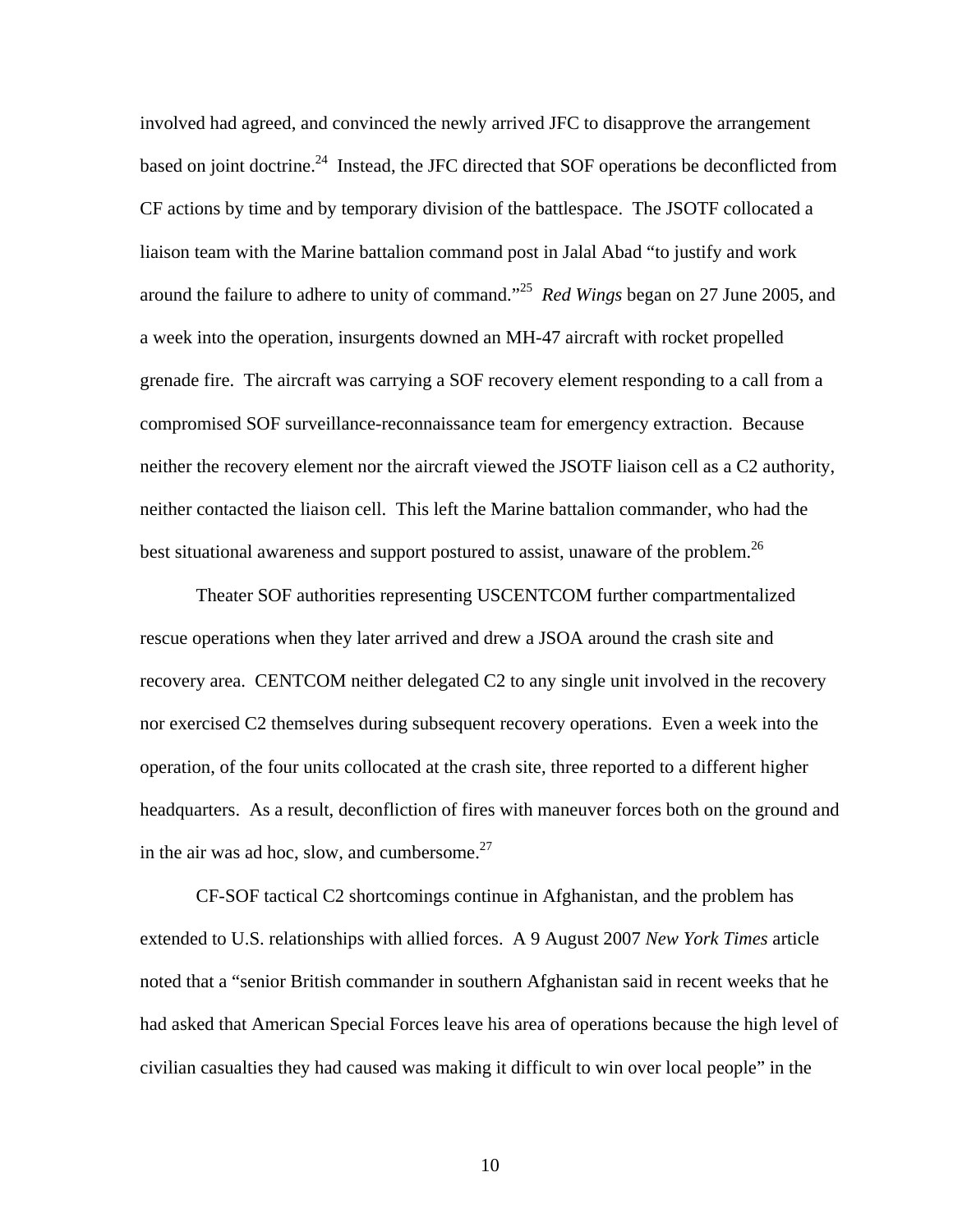involved had agreed, and convinced the newly arrived JFC to disapprove the arrangement based on joint doctrine.<sup>24</sup> Instead, the JFC directed that SOF operations be deconflicted from CF actions by time and by temporary division of the battlespace. The JSOTF collocated a liaison team with the Marine battalion command post in Jalal Abad "to justify and work around the failure to adhere to unity of command."25 *Red Wings* began on 27 June 2005, and a week into the operation, insurgents downed an MH-47 aircraft with rocket propelled grenade fire. The aircraft was carrying a SOF recovery element responding to a call from a compromised SOF surveillance-reconnaissance team for emergency extraction. Because neither the recovery element nor the aircraft viewed the JSOTF liaison cell as a C2 authority, neither contacted the liaison cell. This left the Marine battalion commander, who had the best situational awareness and support postured to assist, unaware of the problem.<sup>26</sup>

Theater SOF authorities representing USCENTCOM further compartmentalized rescue operations when they later arrived and drew a JSOA around the crash site and recovery area. CENTCOM neither delegated C2 to any single unit involved in the recovery nor exercised C2 themselves during subsequent recovery operations. Even a week into the operation, of the four units collocated at the crash site, three reported to a different higher headquarters. As a result, deconfliction of fires with maneuver forces both on the ground and in the air was ad hoc, slow, and cumbersome. $27$ 

CF-SOF tactical C2 shortcomings continue in Afghanistan, and the problem has extended to U.S. relationships with allied forces. A 9 August 2007 *New York Times* article noted that a "senior British commander in southern Afghanistan said in recent weeks that he had asked that American Special Forces leave his area of operations because the high level of civilian casualties they had caused was making it difficult to win over local people" in the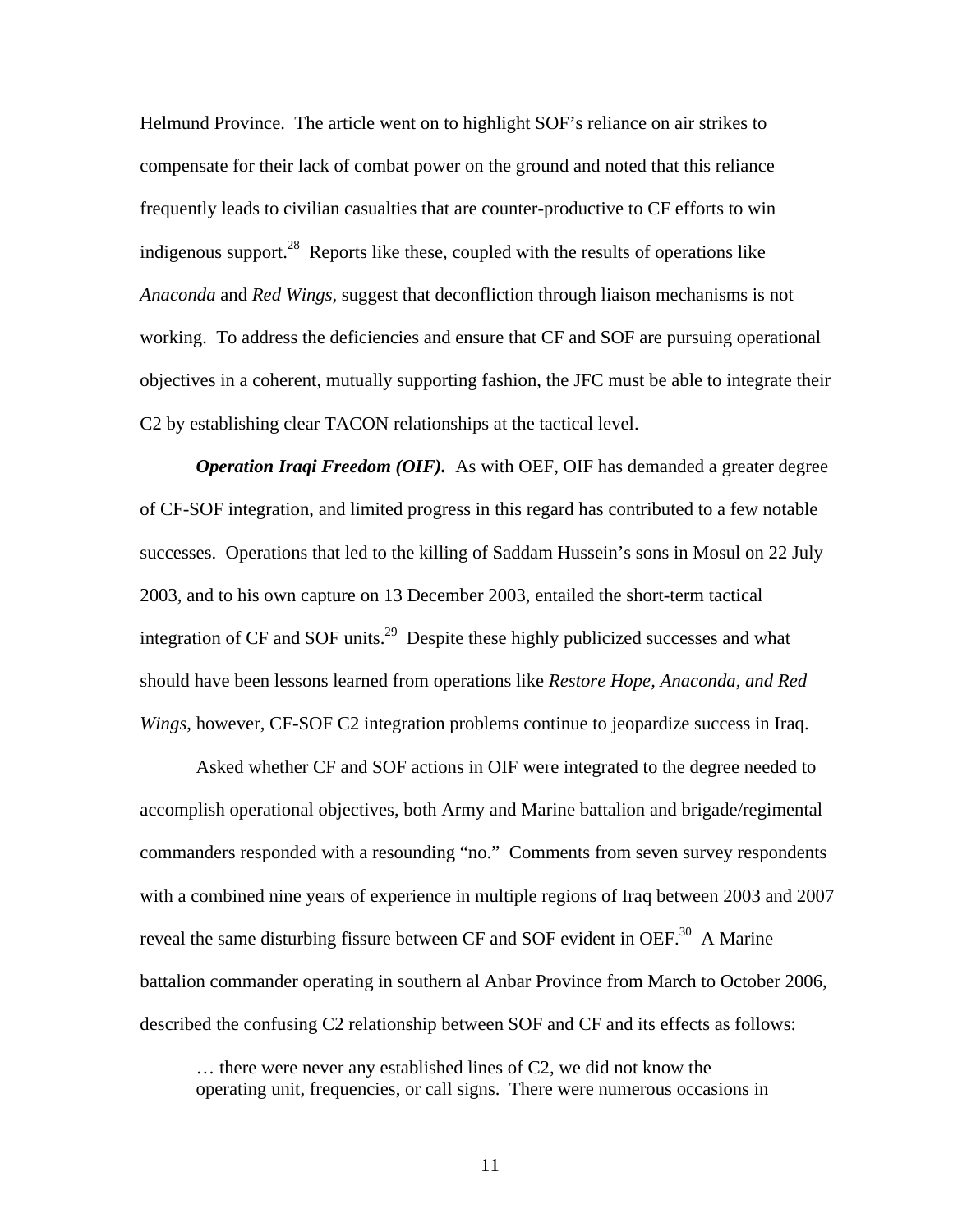Helmund Province. The article went on to highlight SOF's reliance on air strikes to compensate for their lack of combat power on the ground and noted that this reliance frequently leads to civilian casualties that are counter-productive to CF efforts to win indigenous support.<sup>28</sup> Reports like these, coupled with the results of operations like *Anaconda* and *Red Wings,* suggest that deconfliction through liaison mechanisms is not working. To address the deficiencies and ensure that CF and SOF are pursuing operational objectives in a coherent, mutually supporting fashion, the JFC must be able to integrate their C2 by establishing clear TACON relationships at the tactical level.

*Operation Iraqi Freedom (OIF).* As with OEF, OIF has demanded a greater degree of CF-SOF integration, and limited progress in this regard has contributed to a few notable successes. Operations that led to the killing of Saddam Hussein's sons in Mosul on 22 July 2003, and to his own capture on 13 December 2003, entailed the short-term tactical integration of  $CF$  and  $SOF$  units.<sup>29</sup> Despite these highly publicized successes and what should have been lessons learned from operations like *Restore Hope, Anaconda, and Red Wings*, however, CF-SOF C2 integration problems continue to jeopardize success in Iraq.

Asked whether CF and SOF actions in OIF were integrated to the degree needed to accomplish operational objectives, both Army and Marine battalion and brigade/regimental commanders responded with a resounding "no." Comments from seven survey respondents with a combined nine years of experience in multiple regions of Iraq between 2003 and 2007 reveal the same disturbing fissure between CF and SOF evident in OEF.<sup>30</sup> A Marine battalion commander operating in southern al Anbar Province from March to October 2006, described the confusing C2 relationship between SOF and CF and its effects as follows:

… there were never any established lines of C2, we did not know the operating unit, frequencies, or call signs. There were numerous occasions in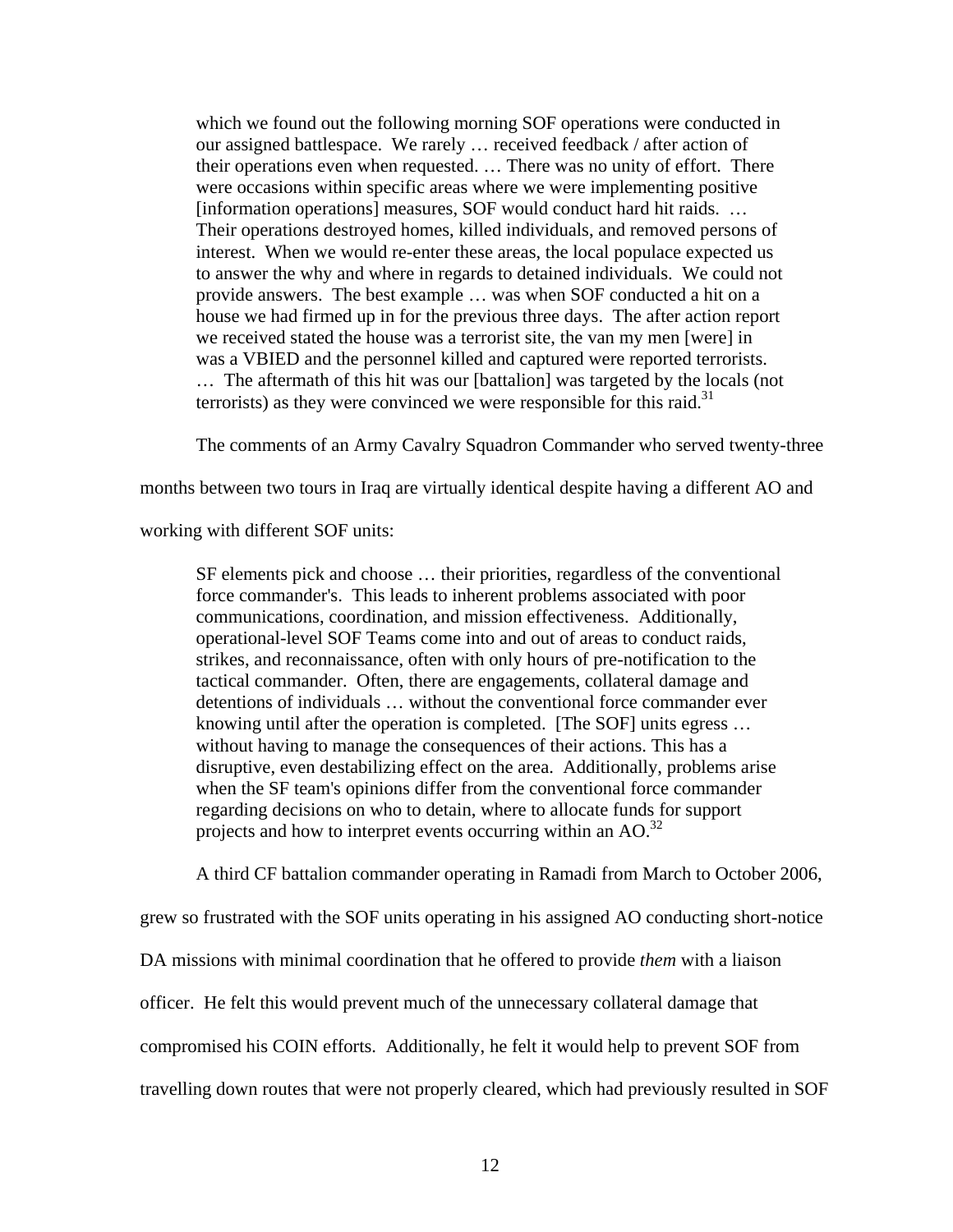which we found out the following morning SOF operations were conducted in our assigned battlespace. We rarely … received feedback / after action of their operations even when requested. … There was no unity of effort. There were occasions within specific areas where we were implementing positive [information operations] measures, SOF would conduct hard hit raids. ... Their operations destroyed homes, killed individuals, and removed persons of interest. When we would re-enter these areas, the local populace expected us to answer the why and where in regards to detained individuals. We could not provide answers. The best example … was when SOF conducted a hit on a house we had firmed up in for the previous three days. The after action report we received stated the house was a terrorist site, the van my men [were] in was a VBIED and the personnel killed and captured were reported terrorists. … The aftermath of this hit was our [battalion] was targeted by the locals (not terrorists) as they were convinced we were responsible for this raid.<sup>31</sup>

The comments of an Army Cavalry Squadron Commander who served twenty-three

months between two tours in Iraq are virtually identical despite having a different AO and

working with different SOF units:

SF elements pick and choose … their priorities, regardless of the conventional force commander's. This leads to inherent problems associated with poor communications, coordination, and mission effectiveness. Additionally, operational-level SOF Teams come into and out of areas to conduct raids, strikes, and reconnaissance, often with only hours of pre-notification to the tactical commander. Often, there are engagements, collateral damage and detentions of individuals … without the conventional force commander ever knowing until after the operation is completed. [The SOF] units egress … without having to manage the consequences of their actions. This has a disruptive, even destabilizing effect on the area. Additionally, problems arise when the SF team's opinions differ from the conventional force commander regarding decisions on who to detain, where to allocate funds for support projects and how to interpret events occurring within an AO.<sup>32</sup>

A third CF battalion commander operating in Ramadi from March to October 2006,

grew so frustrated with the SOF units operating in his assigned AO conducting short-notice

DA missions with minimal coordination that he offered to provide *them* with a liaison

officer. He felt this would prevent much of the unnecessary collateral damage that

compromised his COIN efforts. Additionally, he felt it would help to prevent SOF from

travelling down routes that were not properly cleared, which had previously resulted in SOF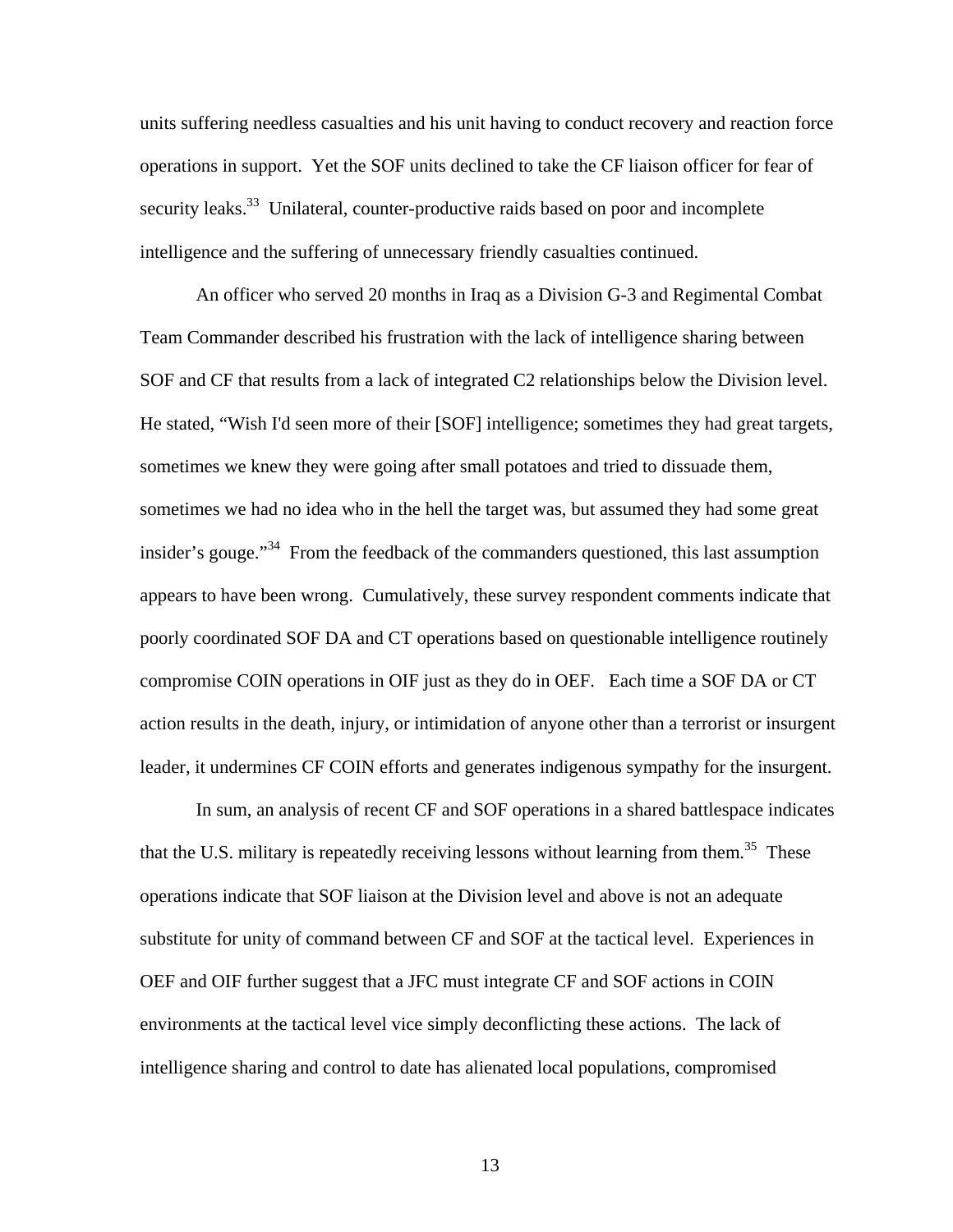units suffering needless casualties and his unit having to conduct recovery and reaction force operations in support. Yet the SOF units declined to take the CF liaison officer for fear of security leaks.<sup>33</sup> Unilateral, counter-productive raids based on poor and incomplete intelligence and the suffering of unnecessary friendly casualties continued.

 An officer who served 20 months in Iraq as a Division G-3 and Regimental Combat Team Commander described his frustration with the lack of intelligence sharing between SOF and CF that results from a lack of integrated C2 relationships below the Division level. He stated, "Wish I'd seen more of their [SOF] intelligence; sometimes they had great targets, sometimes we knew they were going after small potatoes and tried to dissuade them, sometimes we had no idea who in the hell the target was, but assumed they had some great insider's gouge."34 From the feedback of the commanders questioned, this last assumption appears to have been wrong. Cumulatively, these survey respondent comments indicate that poorly coordinated SOF DA and CT operations based on questionable intelligence routinely compromise COIN operations in OIF just as they do in OEF. Each time a SOF DA or CT action results in the death, injury, or intimidation of anyone other than a terrorist or insurgent leader, it undermines CF COIN efforts and generates indigenous sympathy for the insurgent.

 In sum, an analysis of recent CF and SOF operations in a shared battlespace indicates that the U.S. military is repeatedly receiving lessons without learning from them.<sup>35</sup> These operations indicate that SOF liaison at the Division level and above is not an adequate substitute for unity of command between CF and SOF at the tactical level. Experiences in OEF and OIF further suggest that a JFC must integrate CF and SOF actions in COIN environments at the tactical level vice simply deconflicting these actions. The lack of intelligence sharing and control to date has alienated local populations, compromised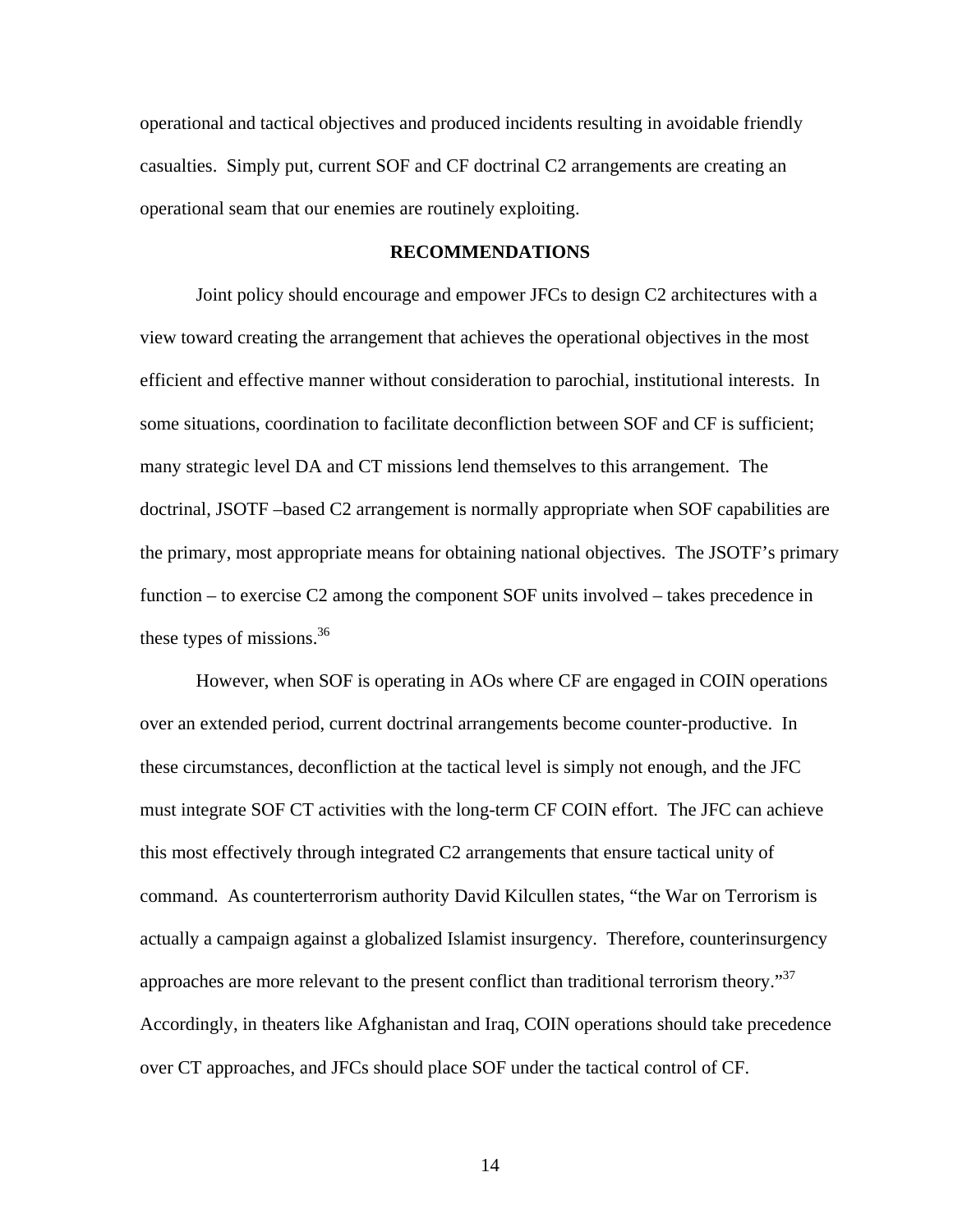operational and tactical objectives and produced incidents resulting in avoidable friendly casualties. Simply put, current SOF and CF doctrinal C2 arrangements are creating an operational seam that our enemies are routinely exploiting.

## **RECOMMENDATIONS**

Joint policy should encourage and empower JFCs to design C2 architectures with a view toward creating the arrangement that achieves the operational objectives in the most efficient and effective manner without consideration to parochial, institutional interests. In some situations, coordination to facilitate deconfliction between SOF and CF is sufficient; many strategic level DA and CT missions lend themselves to this arrangement. The doctrinal, JSOTF –based C2 arrangement is normally appropriate when SOF capabilities are the primary, most appropriate means for obtaining national objectives. The JSOTF's primary function – to exercise C2 among the component SOF units involved – takes precedence in these types of missions. $36$ 

However, when SOF is operating in AOs where CF are engaged in COIN operations over an extended period, current doctrinal arrangements become counter-productive. In these circumstances, deconfliction at the tactical level is simply not enough, and the JFC must integrate SOF CT activities with the long-term CF COIN effort. The JFC can achieve this most effectively through integrated C2 arrangements that ensure tactical unity of command. As counterterrorism authority David Kilcullen states, "the War on Terrorism is actually a campaign against a globalized Islamist insurgency. Therefore, counterinsurgency approaches are more relevant to the present conflict than traditional terrorism theory."<sup>37</sup> Accordingly, in theaters like Afghanistan and Iraq, COIN operations should take precedence over CT approaches, and JFCs should place SOF under the tactical control of CF.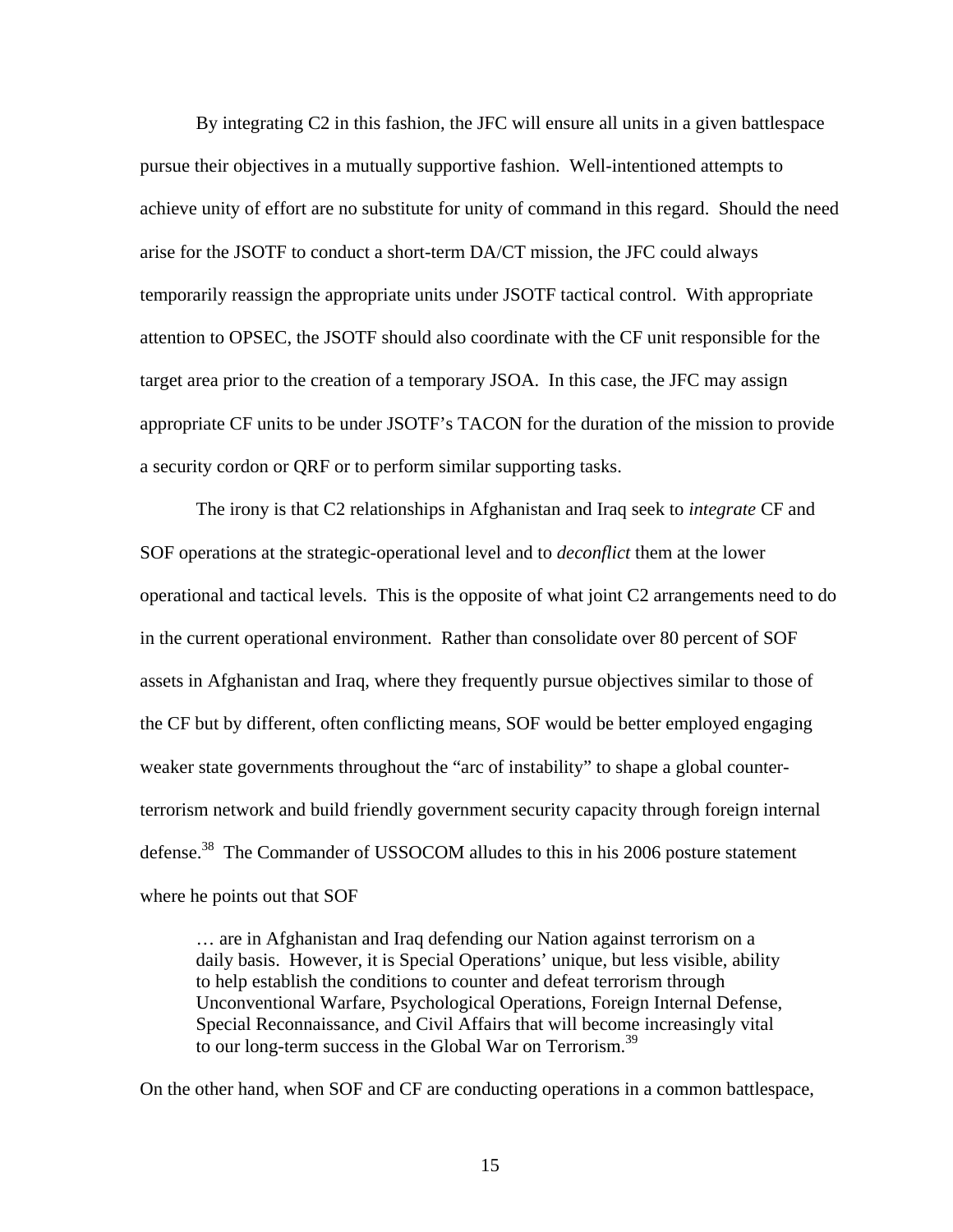By integrating C2 in this fashion, the JFC will ensure all units in a given battlespace pursue their objectives in a mutually supportive fashion. Well-intentioned attempts to achieve unity of effort are no substitute for unity of command in this regard. Should the need arise for the JSOTF to conduct a short-term DA/CT mission, the JFC could always temporarily reassign the appropriate units under JSOTF tactical control. With appropriate attention to OPSEC, the JSOTF should also coordinate with the CF unit responsible for the target area prior to the creation of a temporary JSOA. In this case, the JFC may assign appropriate CF units to be under JSOTF's TACON for the duration of the mission to provide a security cordon or QRF or to perform similar supporting tasks.

The irony is that C2 relationships in Afghanistan and Iraq seek to *integrate* CF and SOF operations at the strategic-operational level and to *deconflict* them at the lower operational and tactical levels. This is the opposite of what joint C2 arrangements need to do in the current operational environment. Rather than consolidate over 80 percent of SOF assets in Afghanistan and Iraq, where they frequently pursue objectives similar to those of the CF but by different, often conflicting means, SOF would be better employed engaging weaker state governments throughout the "arc of instability" to shape a global counterterrorism network and build friendly government security capacity through foreign internal defense.<sup>38</sup> The Commander of USSOCOM alludes to this in his 2006 posture statement where he points out that SOF

… are in Afghanistan and Iraq defending our Nation against terrorism on a daily basis. However, it is Special Operations' unique, but less visible, ability to help establish the conditions to counter and defeat terrorism through Unconventional Warfare, Psychological Operations, Foreign Internal Defense, Special Reconnaissance, and Civil Affairs that will become increasingly vital to our long-term success in the Global War on Terrorism.<sup>39</sup>

On the other hand, when SOF and CF are conducting operations in a common battlespace,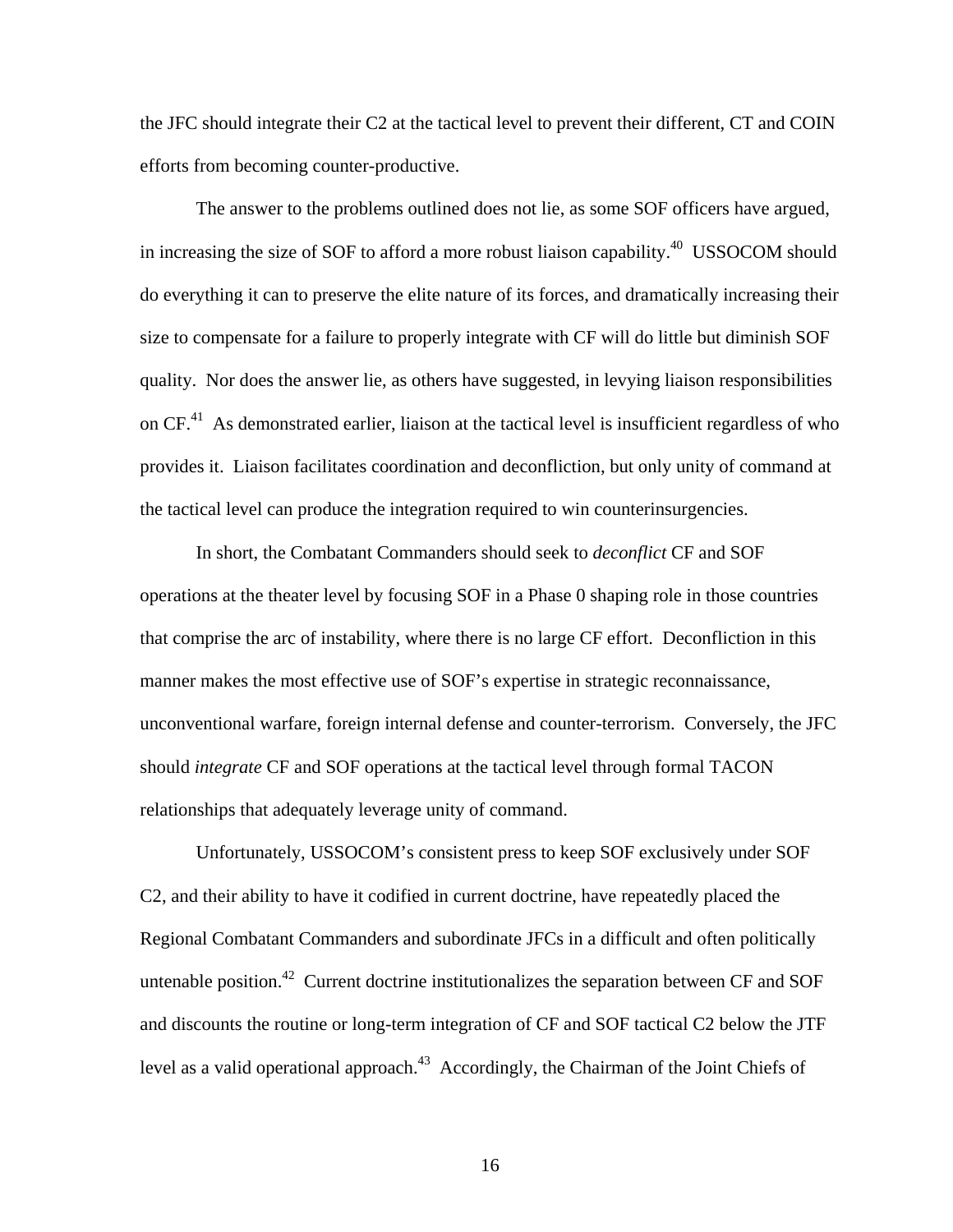the JFC should integrate their C2 at the tactical level to prevent their different, CT and COIN efforts from becoming counter-productive.

The answer to the problems outlined does not lie, as some SOF officers have argued, in increasing the size of SOF to afford a more robust liaison capability.<sup>40</sup> USSOCOM should do everything it can to preserve the elite nature of its forces, and dramatically increasing their size to compensate for a failure to properly integrate with CF will do little but diminish SOF quality. Nor does the answer lie, as others have suggested, in levying liaison responsibilities on  $CF<sup>41</sup>$ . As demonstrated earlier, liaison at the tactical level is insufficient regardless of who provides it. Liaison facilitates coordination and deconfliction, but only unity of command at the tactical level can produce the integration required to win counterinsurgencies.

In short, the Combatant Commanders should seek to *deconflict* CF and SOF operations at the theater level by focusing SOF in a Phase 0 shaping role in those countries that comprise the arc of instability, where there is no large CF effort. Deconfliction in this manner makes the most effective use of SOF's expertise in strategic reconnaissance, unconventional warfare, foreign internal defense and counter-terrorism. Conversely, the JFC should *integrate* CF and SOF operations at the tactical level through formal TACON relationships that adequately leverage unity of command.

Unfortunately, USSOCOM's consistent press to keep SOF exclusively under SOF C2, and their ability to have it codified in current doctrine, have repeatedly placed the Regional Combatant Commanders and subordinate JFCs in a difficult and often politically untenable position.<sup>42</sup> Current doctrine institutionalizes the separation between CF and SOF and discounts the routine or long-term integration of CF and SOF tactical C2 below the JTF level as a valid operational approach.<sup>43</sup> Accordingly, the Chairman of the Joint Chiefs of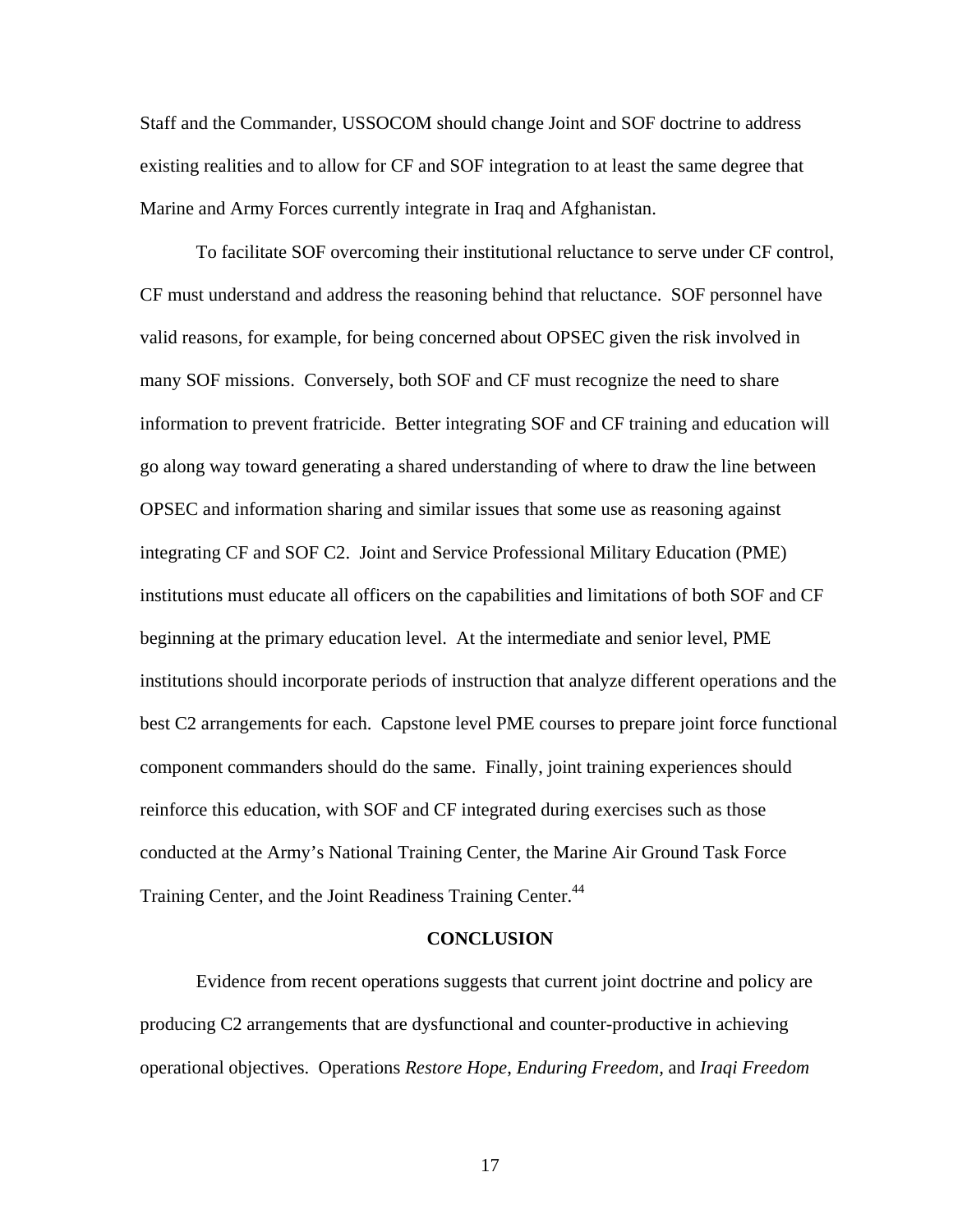Staff and the Commander, USSOCOM should change Joint and SOF doctrine to address existing realities and to allow for CF and SOF integration to at least the same degree that Marine and Army Forces currently integrate in Iraq and Afghanistan.

To facilitate SOF overcoming their institutional reluctance to serve under CF control, CF must understand and address the reasoning behind that reluctance. SOF personnel have valid reasons, for example, for being concerned about OPSEC given the risk involved in many SOF missions. Conversely, both SOF and CF must recognize the need to share information to prevent fratricide. Better integrating SOF and CF training and education will go along way toward generating a shared understanding of where to draw the line between OPSEC and information sharing and similar issues that some use as reasoning against integrating CF and SOF C2. Joint and Service Professional Military Education (PME) institutions must educate all officers on the capabilities and limitations of both SOF and CF beginning at the primary education level. At the intermediate and senior level, PME institutions should incorporate periods of instruction that analyze different operations and the best C2 arrangements for each. Capstone level PME courses to prepare joint force functional component commanders should do the same. Finally, joint training experiences should reinforce this education, with SOF and CF integrated during exercises such as those conducted at the Army's National Training Center, the Marine Air Ground Task Force Training Center, and the Joint Readiness Training Center.<sup>44</sup>

#### **CONCLUSION**

Evidence from recent operations suggests that current joint doctrine and policy are producing C2 arrangements that are dysfunctional and counter-productive in achieving operational objectives. Operations *Restore Hope*, *Enduring Freedom,* and *Iraqi Freedom*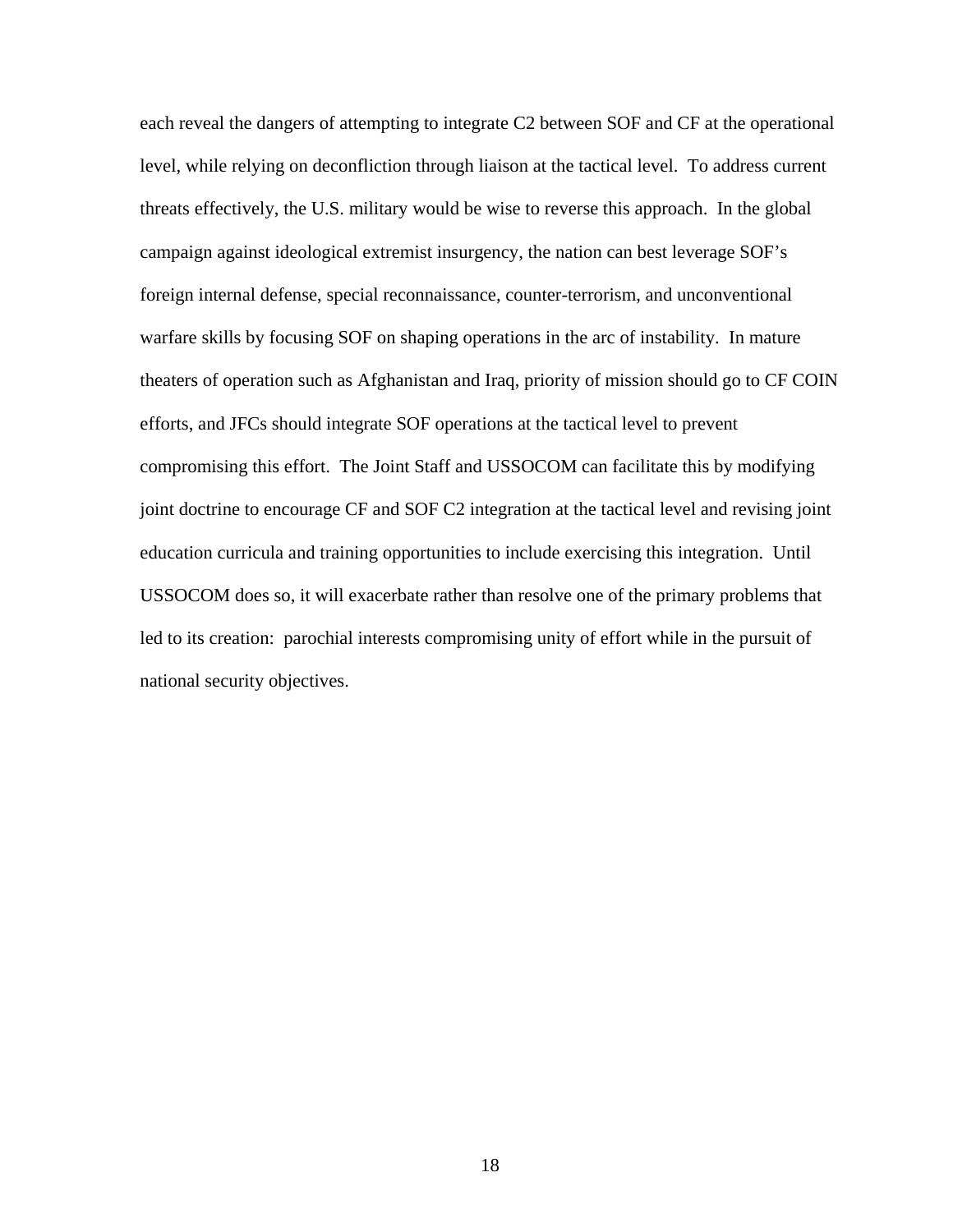each reveal the dangers of attempting to integrate C2 between SOF and CF at the operational level, while relying on deconfliction through liaison at the tactical level. To address current threats effectively, the U.S. military would be wise to reverse this approach. In the global campaign against ideological extremist insurgency, the nation can best leverage SOF's foreign internal defense, special reconnaissance, counter-terrorism, and unconventional warfare skills by focusing SOF on shaping operations in the arc of instability. In mature theaters of operation such as Afghanistan and Iraq, priority of mission should go to CF COIN efforts, and JFCs should integrate SOF operations at the tactical level to prevent compromising this effort. The Joint Staff and USSOCOM can facilitate this by modifying joint doctrine to encourage CF and SOF C2 integration at the tactical level and revising joint education curricula and training opportunities to include exercising this integration. Until USSOCOM does so, it will exacerbate rather than resolve one of the primary problems that led to its creation: parochial interests compromising unity of effort while in the pursuit of national security objectives.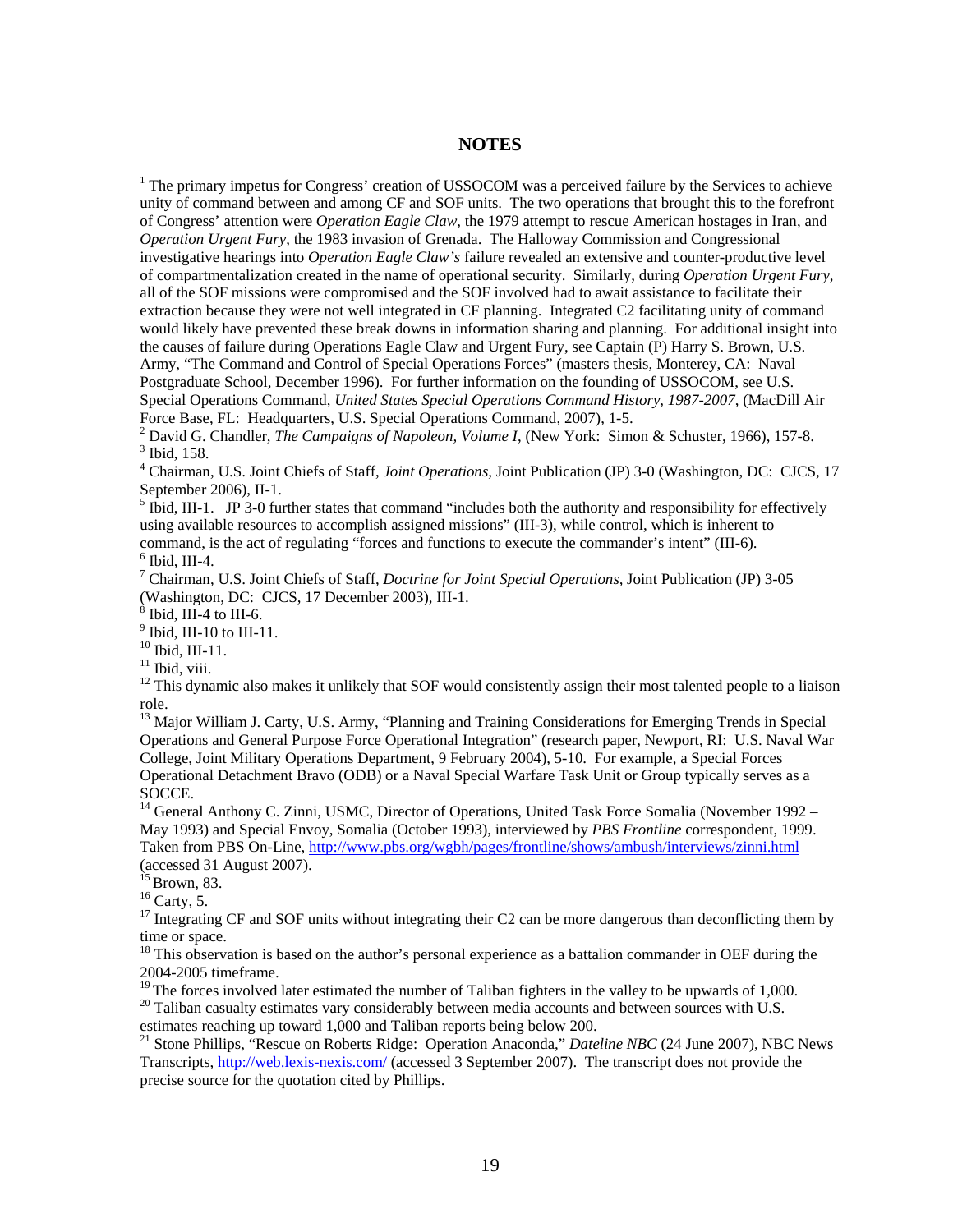#### **NOTES**

<sup>1</sup> The primary impetus for Congress' creation of USSOCOM was a perceived failure by the Services to achieve unity of command between and among CF and SOF units. The two operations that brought this to the forefront of Congress' attention were *Operation Eagle Claw*, the 1979 attempt to rescue American hostages in Iran, and *Operation Urgent Fury*, the 1983 invasion of Grenada. The Halloway Commission and Congressional investigative hearings into *Operation Eagle Claw's* failure revealed an extensive and counter-productive level of compartmentalization created in the name of operational security. Similarly, during *Operation Urgent Fury*, all of the SOF missions were compromised and the SOF involved had to await assistance to facilitate their extraction because they were not well integrated in CF planning. Integrated C2 facilitating unity of command would likely have prevented these break downs in information sharing and planning. For additional insight into the causes of failure during Operations Eagle Claw and Urgent Fury, see Captain (P) Harry S. Brown, U.S. Army, "The Command and Control of Special Operations Forces" (masters thesis, Monterey, CA: Naval Postgraduate School, December 1996). For further information on the founding of USSOCOM, see U.S. Special Operations Command, *United States Special Operations Command History, 1987-2007*, (MacDill Air Force Base, FL: Headquarters, U.S. Special Operations Command, 2007), 1-5.

<sup>2</sup> David G. Chandler, *The Campaigns of Napoleon, Volume I*, (New York: Simon & Schuster, 1966), 157-8. 3 Thid. 158 <sup>3</sup> Ibid, 158.

4 Chairman, U.S. Joint Chiefs of Staff, *Joint Operations,* Joint Publication (JP) 3-0 (Washington, DC: CJCS, 17 September 2006), II-1.

 $<sup>5</sup>$  Ibid, III-1. JP 3-0 further states that command "includes both the authority and responsibility for effectively</sup> using available resources to accomplish assigned missions" (III-3), while control, which is inherent to command, is the act of regulating "forces and functions to execute the commander's intent" (III-6).  $6$  Ibid, III-4.

7 Chairman, U.S. Joint Chiefs of Staff, *Doctrine for Joint Special Operations,* Joint Publication (JP) 3-05 (Washington, DC: CJCS, 17 December 2003), III-1.<br><sup>8</sup> Ibid, III-4 to III-6.

 $<sup>9</sup>$  Ibid, III-10 to III-11.</sup>

10 Ibid, III-11.

 $11$  Ibid, viii.

<sup>12</sup> This dynamic also makes it unlikely that SOF would consistently assign their most talented people to a liaison role.

<sup>13</sup> Major William J. Carty, U.S. Army, "Planning and Training Considerations for Emerging Trends in Special Operations and General Purpose Force Operational Integration" (research paper, Newport, RI: U.S. Naval War College, Joint Military Operations Department, 9 February 2004), 5-10. For example, a Special Forces Operational Detachment Bravo (ODB) or a Naval Special Warfare Task Unit or Group typically serves as a SOCCE.

<sup>14</sup> General Anthony C. Zinni, USMC, Director of Operations, United Task Force Somalia (November 1992 – May 1993) and Special Envoy, Somalia (October 1993), interviewed by *PBS Frontline* correspondent, 1999. Taken from PBS On-Line, http://www.pbs.org/wgbh/pages/frontline/shows/ambush/interviews/zinni.html (accessed 31 August 2007).<br> $15$  Brown, 83.

 $16$  Carty, 5.

<sup>17</sup> Integrating CF and SOF units without integrating their C2 can be more dangerous than deconflicting them by time or space.

 $18$  This observation is based on the author's personal experience as a battalion commander in OEF during the 2004-2005 timeframe.<br><sup>19</sup> The forces involved later estimated the number of Taliban fighters in the valley to be upwards of 1,000.

 $10^{20}$  Taliban casualty estimates vary considerably between media accounts and between sources with U.S. estimates reaching up toward 1,000 and Taliban reports being below 200.

21 Stone Phillips, "Rescue on Roberts Ridge: Operation Anaconda," *Dateline NBC* (24 June 2007), NBC News Transcripts, http://web.lexis-nexis.com/ (accessed 3 September 2007). The transcript does not provide the precise source for the quotation cited by Phillips.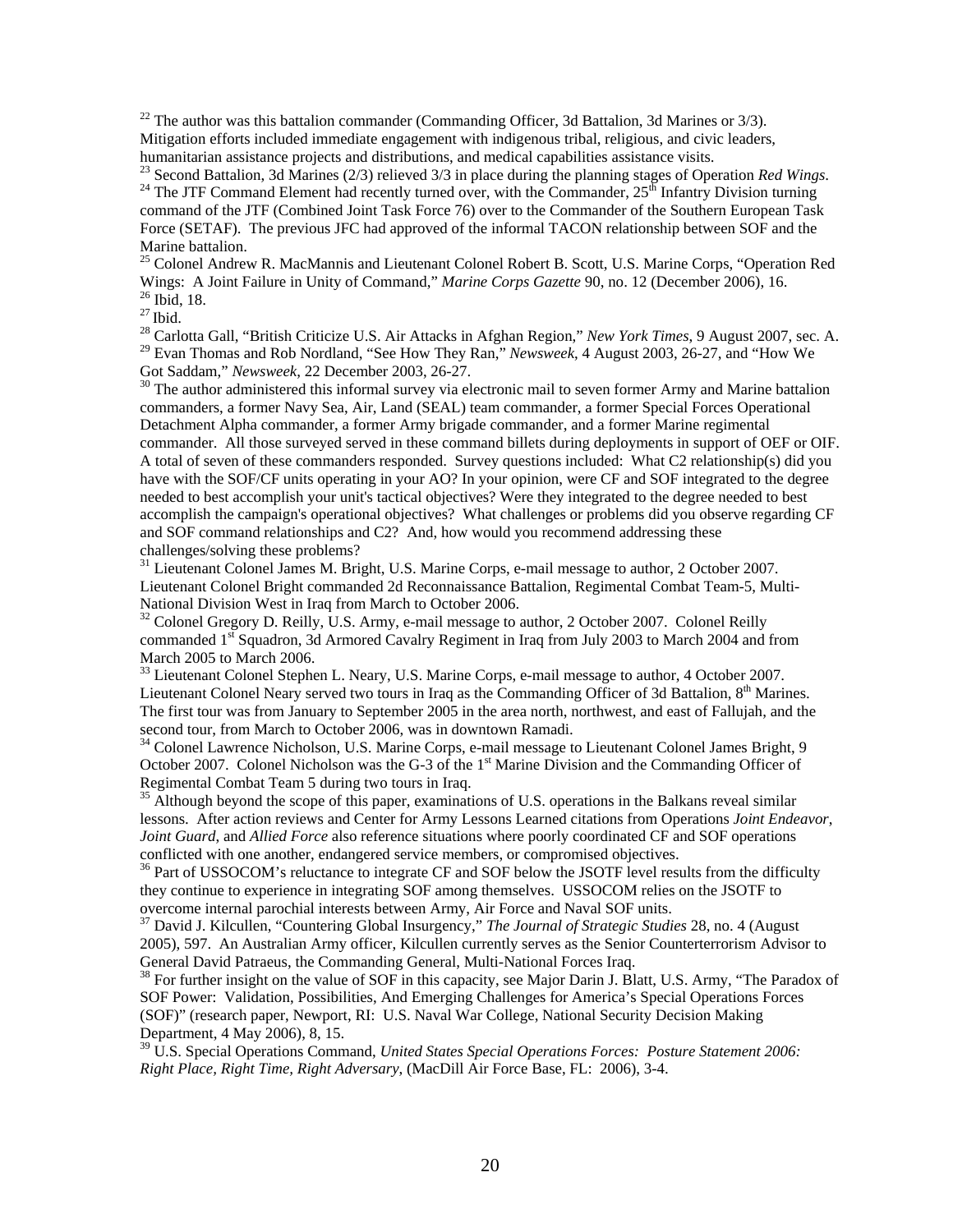$^{22}$  The author was this battalion commander (Commanding Officer, 3d Battalion, 3d Marines or 3/3). Mitigation efforts included immediate engagement with indigenous tribal, religious, and civic leaders, humanitarian assistance projects and distributions, and medical capabilities assistance visits.

<sup>23</sup> Second Battalion, 3d Marines (2/3) relieved 3/3 in place during the planning stages of Operation *Red Wings*. <sup>24</sup> The JTF Command Element had recently turned over, with the Commander,  $25<sup>th</sup>$  Infantry Division t command of the JTF (Combined Joint Task Force 76) over to the Commander of the Southern European Task Force (SETAF). The previous JFC had approved of the informal TACON relationship between SOF and the Marine battalion.

<sup>25</sup> Colonel Andrew R. MacMannis and Lieutenant Colonel Robert B. Scott, U.S. Marine Corps, "Operation Red Wings: A Joint Failure in Unity of Command," *Marine Corps Gazette* 90, no. 12 (December 2006), 16. <sup>26</sup> Ibid, 18. <sup>27</sup> Ibid.

<sup>28</sup> Carlotta Gall, "British Criticize U.S. Air Attacks in Afghan Region," *New York Times*, 9 August 2007, sec. A. <sup>29</sup> Evan Thomas and Rob Nordland, "See How They Ran," *Newsweek*, 4 August 2003, 26-27, and "How We Got Saddam," *Newsweek*, 22 December 2003, 26-27.

<sup>30</sup> The author administered this informal survey via electronic mail to seven former Army and Marine battalion commanders, a former Navy Sea, Air, Land (SEAL) team commander, a former Special Forces Operational Detachment Alpha commander, a former Army brigade commander, and a former Marine regimental commander. All those surveyed served in these command billets during deployments in support of OEF or OIF. A total of seven of these commanders responded. Survey questions included: What C2 relationship(s) did you have with the SOF/CF units operating in your AO? In your opinion, were CF and SOF integrated to the degree needed to best accomplish your unit's tactical objectives? Were they integrated to the degree needed to best accomplish the campaign's operational objectives? What challenges or problems did you observe regarding CF and SOF command relationships and C2? And, how would you recommend addressing these challenges/solving these problems?

<sup>31</sup> Lieutenant Colonel James M. Bright, U.S. Marine Corps, e-mail message to author, 2 October 2007. Lieutenant Colonel Bright commanded 2d Reconnaissance Battalion, Regimental Combat Team-5, Multi-National Division West in Iraq from March to October 2006.

 $32$  Colonel Gregory D. Reilly, U.S. Army, e-mail message to author, 2 October 2007. Colonel Reilly commanded 1<sup>st</sup> Squadron, 3d Armored Cavalry Regiment in Iraq from July 2003 to March 2004 and from March 2005 to March 2006.

<sup>33</sup> Lieutenant Colonel Stephen L. Neary, U.S. Marine Corps, e-mail message to author, 4 October 2007. Lieutenant Colonel Neary served two tours in Iraq as the Commanding Officer of 3d Battalion,  $8<sup>th</sup>$  Marines. The first tour was from January to September 2005 in the area north, northwest, and east of Fallujah, and the second tour, from March to October 2006, was in downtown Ramadi.

<sup>34</sup> Colonel Lawrence Nicholson, U.S. Marine Corps, e-mail message to Lieutenant Colonel James Bright, 9 October 2007. Colonel Nicholson was the G-3 of the 1<sup>st</sup> Marine Division and the Commanding Officer of Regimental Combat Team 5 during two tours in Iraq.

<sup>35</sup> Although beyond the scope of this paper, examinations of U.S. operations in the Balkans reveal similar lessons. After action reviews and Center for Army Lessons Learned citations from Operations *Joint Endeavor*, *Joint Guard*, and *Allied Force* also reference situations where poorly coordinated CF and SOF operations conflicted with one another, endangered service members, or compromised objectives.<br><sup>36</sup> Part of USSOCOM's reluctance to integrate CF and SOF below the JSOTF level results from the difficulty

they continue to experience in integrating SOF among themselves. USSOCOM relies on the JSOTF to overcome internal parochial interests between Army, Air Force and Naval SOF units.

37 David J. Kilcullen, "Countering Global Insurgency," *The Journal of Strategic Studies* 28, no. 4 (August 2005), 597. An Australian Army officer, Kilcullen currently serves as the Senior Counterterrorism Advisor to General David Patraeus, the Commanding General, Multi-National Forces Iraq.

 $38$  For further insight on the value of SOF in this capacity, see Major Darin J. Blatt, U.S. Army, "The Paradox of SOF Power: Validation, Possibilities, And Emerging Challenges for America's Special Operations Forces (SOF)" (research paper, Newport, RI: U.S. Naval War College, National Security Decision Making Department, 4 May 2006), 8, 15.

39 U.S. Special Operations Command, *United States Special Operations Forces: Posture Statement 2006: Right Place, Right Time, Right Adversary*, (MacDill Air Force Base, FL: 2006), 3-4.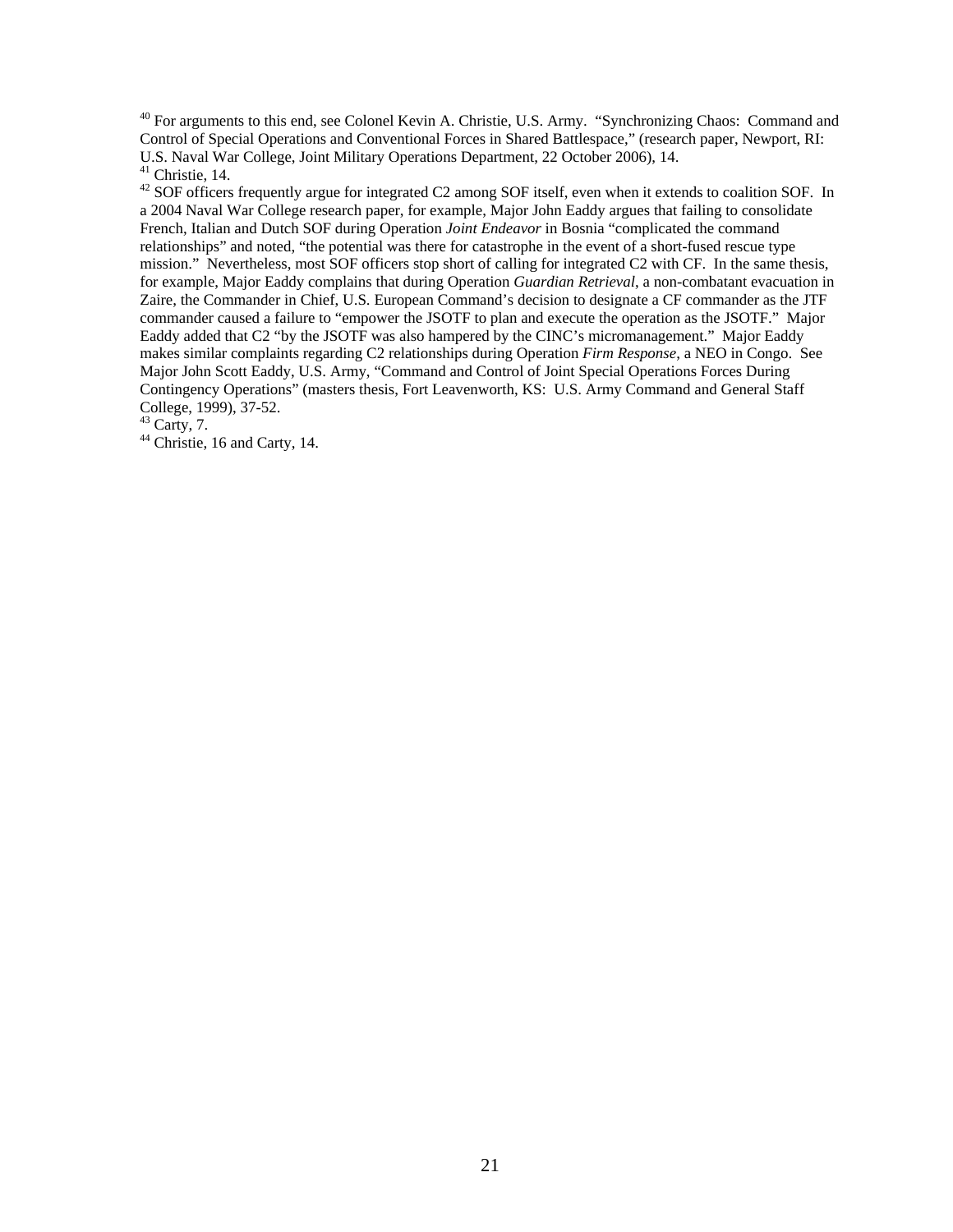<sup>40</sup> For arguments to this end, see Colonel Kevin A. Christie, U.S. Army. "Synchronizing Chaos: Command and Control of Special Operations and Conventional Forces in Shared Battlespace," (research paper, Newport, RI: U.S. Naval War College, Joint Military Operations Department, 22 October 2006), 14. 41 Christie, 14.

<sup>42</sup> SOF officers frequently argue for integrated C2 among SOF itself, even when it extends to coalition SOF. In a 2004 Naval War College research paper, for example, Major John Eaddy argues that failing to consolidate French, Italian and Dutch SOF during Operation *Joint Endeavor* in Bosnia "complicated the command relationships" and noted, "the potential was there for catastrophe in the event of a short-fused rescue type mission." Nevertheless, most SOF officers stop short of calling for integrated C2 with CF. In the same thesis, for example, Major Eaddy complains that during Operation *Guardian Retrieval*, a non-combatant evacuation in Zaire, the Commander in Chief, U.S. European Command's decision to designate a CF commander as the JTF commander caused a failure to "empower the JSOTF to plan and execute the operation as the JSOTF." Major Eaddy added that C2 "by the JSOTF was also hampered by the CINC's micromanagement." Major Eaddy makes similar complaints regarding C2 relationships during Operation *Firm Response*, a NEO in Congo. See Major John Scott Eaddy, U.S. Army, "Command and Control of Joint Special Operations Forces During Contingency Operations" (masters thesis, Fort Leavenworth, KS: U.S. Army Command and General Staff College, 1999), 37-52.

 $43$  Carty, 7.

<sup>44</sup> Christie, 16 and Carty, 14.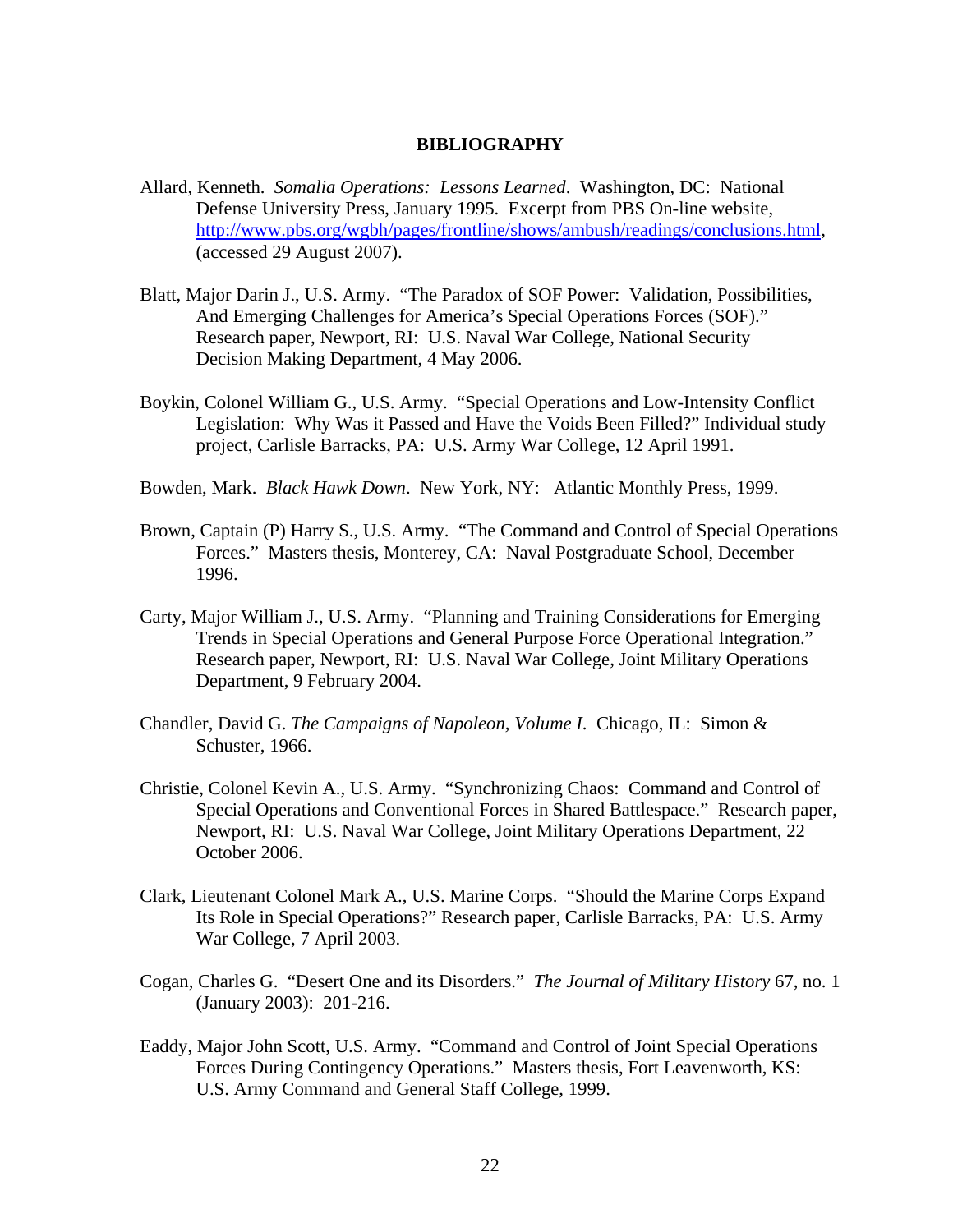## **BIBLIOGRAPHY**

- Allard, Kenneth. *Somalia Operations: Lessons Learned*. Washington, DC: National Defense University Press, January 1995. Excerpt from PBS On-line website, http://www.pbs.org/wgbh/pages/frontline/shows/ambush/readings/conclusions.html, (accessed 29 August 2007).
- Blatt, Major Darin J., U.S. Army. "The Paradox of SOF Power: Validation, Possibilities, And Emerging Challenges for America's Special Operations Forces (SOF)." Research paper, Newport, RI: U.S. Naval War College, National Security Decision Making Department, 4 May 2006.
- Boykin, Colonel William G., U.S. Army. "Special Operations and Low-Intensity Conflict Legislation: Why Was it Passed and Have the Voids Been Filled?" Individual study project, Carlisle Barracks, PA: U.S. Army War College, 12 April 1991.
- Bowden, Mark. *Black Hawk Down*. New York, NY: Atlantic Monthly Press, 1999.
- Brown, Captain (P) Harry S., U.S. Army. "The Command and Control of Special Operations Forces." Masters thesis, Monterey, CA: Naval Postgraduate School, December 1996.
- Carty, Major William J., U.S. Army. "Planning and Training Considerations for Emerging Trends in Special Operations and General Purpose Force Operational Integration." Research paper, Newport, RI: U.S. Naval War College, Joint Military Operations Department, 9 February 2004.
- Chandler, David G. *The Campaigns of Napoleon, Volume I*. Chicago, IL: Simon & Schuster, 1966.
- Christie, Colonel Kevin A., U.S. Army. "Synchronizing Chaos: Command and Control of Special Operations and Conventional Forces in Shared Battlespace." Research paper, Newport, RI: U.S. Naval War College, Joint Military Operations Department, 22 October 2006.
- Clark, Lieutenant Colonel Mark A., U.S. Marine Corps. "Should the Marine Corps Expand Its Role in Special Operations?" Research paper, Carlisle Barracks, PA: U.S. Army War College, 7 April 2003.
- Cogan, Charles G. "Desert One and its Disorders." *The Journal of Military History* 67, no. 1 (January 2003): 201-216.
- Eaddy, Major John Scott, U.S. Army. "Command and Control of Joint Special Operations Forces During Contingency Operations." Masters thesis, Fort Leavenworth, KS: U.S. Army Command and General Staff College, 1999.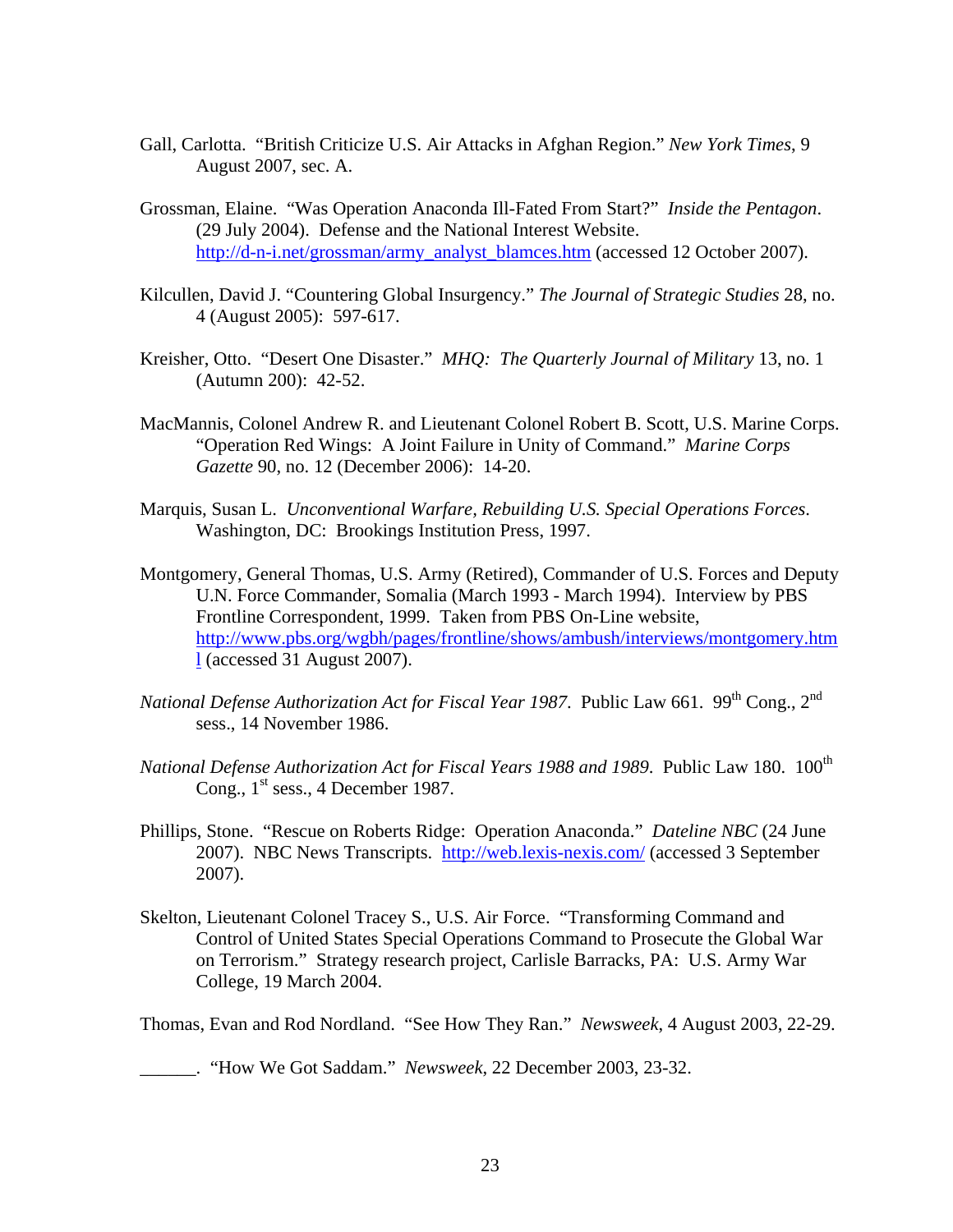- Gall, Carlotta. "British Criticize U.S. Air Attacks in Afghan Region." *New York Times*, 9 August 2007, sec. A.
- Grossman, Elaine. "Was Operation Anaconda Ill-Fated From Start?" *Inside the Pentagon*. (29 July 2004). Defense and the National Interest Website. http://d-n-i.net/grossman/army\_analyst\_blamces.htm (accessed 12 October 2007).
- Kilcullen, David J. "Countering Global Insurgency." *The Journal of Strategic Studies* 28, no. 4 (August 2005): 597-617.
- Kreisher, Otto. "Desert One Disaster." *MHQ: The Quarterly Journal of Military* 13, no. 1 (Autumn 200): 42-52.
- MacMannis, Colonel Andrew R. and Lieutenant Colonel Robert B. Scott, U.S. Marine Corps. "Operation Red Wings: A Joint Failure in Unity of Command." *Marine Corps Gazette* 90, no. 12 (December 2006): 14-20.
- Marquis, Susan L. *Unconventional Warfare, Rebuilding U.S. Special Operations Forces*. Washington, DC: Brookings Institution Press, 1997.
- Montgomery, General Thomas, U.S. Army (Retired), Commander of U.S. Forces and Deputy U.N. Force Commander, Somalia (March 1993 - March 1994). Interview by PBS Frontline Correspondent, 1999. Taken from PBS On-Line website, http://www.pbs.org/wgbh/pages/frontline/shows/ambush/interviews/montgomery.htm l (accessed 31 August 2007).
- *National Defense Authorization Act for Fiscal Year 1987. Public Law 661. 99<sup>th</sup> Cong., 2<sup>nd</sup>* sess., 14 November 1986.
- *National Defense Authorization Act for Fiscal Years 1988 and 1989. Public Law 180.* 100<sup>th</sup> Cong.,  $1<sup>st</sup>$  sess., 4 December 1987.
- Phillips, Stone. "Rescue on Roberts Ridge: Operation Anaconda." *Dateline NBC* (24 June 2007). NBC News Transcripts. http://web.lexis-nexis.com/ (accessed 3 September 2007).
- Skelton, Lieutenant Colonel Tracey S., U.S. Air Force. "Transforming Command and Control of United States Special Operations Command to Prosecute the Global War on Terrorism." Strategy research project, Carlisle Barracks, PA: U.S. Army War College, 19 March 2004.

Thomas, Evan and Rod Nordland. "See How They Ran." *Newsweek*, 4 August 2003, 22-29.

\_\_\_\_\_\_. "How We Got Saddam." *Newsweek*, 22 December 2003, 23-32.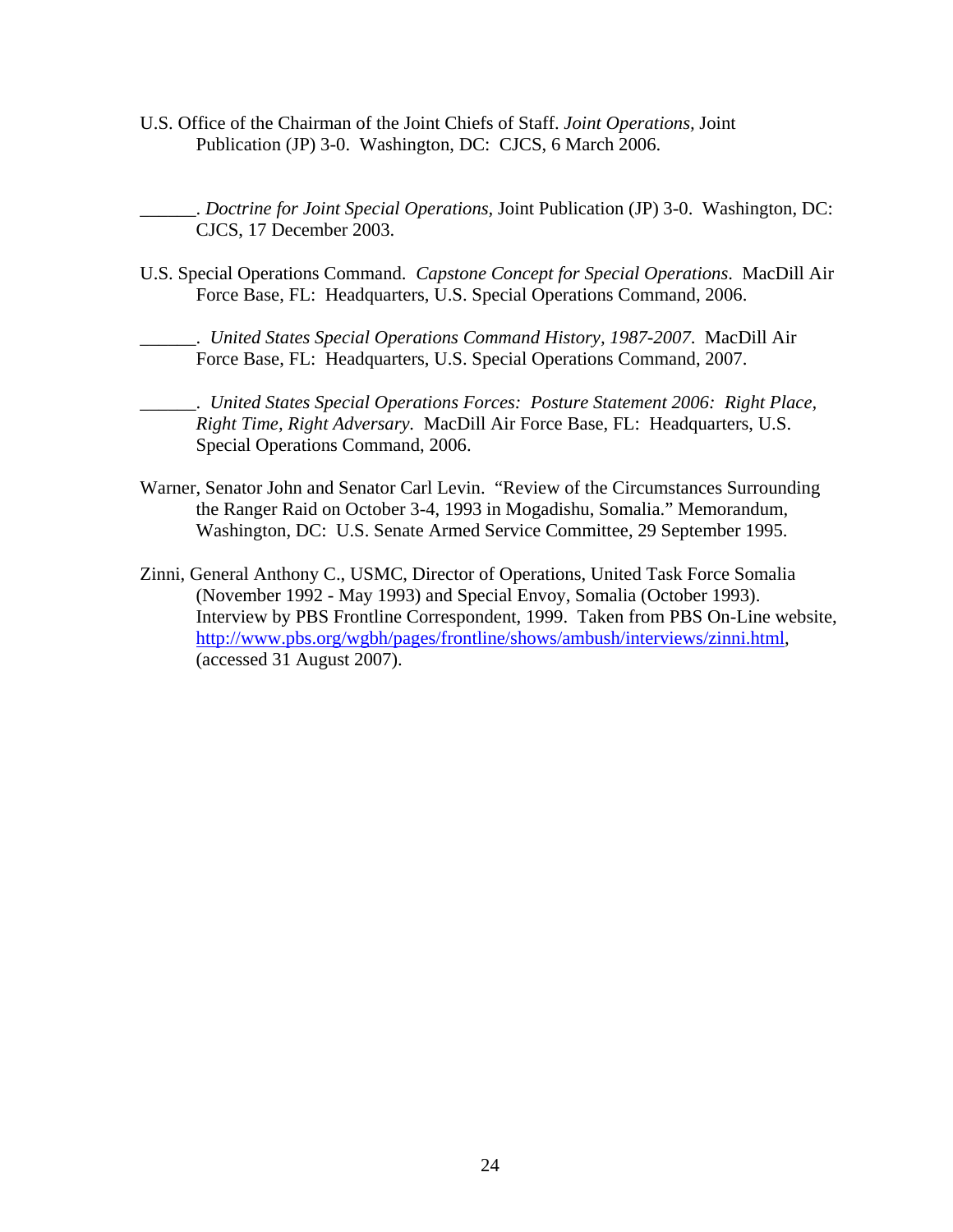U.S. Office of the Chairman of the Joint Chiefs of Staff. *Joint Operations,* Joint Publication (JP) 3-0. Washington, DC: CJCS, 6 March 2006.

\_\_\_\_\_\_. *Doctrine for Joint Special Operations,* Joint Publication (JP) 3-0. Washington, DC: CJCS, 17 December 2003.

U.S. Special Operations Command. *Capstone Concept for Special Operations*. MacDill Air Force Base, FL: Headquarters, U.S. Special Operations Command, 2006.

\_\_\_\_\_\_. *United States Special Operations Command History, 1987-2007*. MacDill Air Force Base, FL: Headquarters, U.S. Special Operations Command, 2007.

- \_\_\_\_\_\_. *United States Special Operations Forces: Posture Statement 2006: Right Place, Right Time, Right Adversary.* MacDill Air Force Base, FL: Headquarters, U.S. Special Operations Command, 2006.
- Warner, Senator John and Senator Carl Levin. "Review of the Circumstances Surrounding the Ranger Raid on October 3-4, 1993 in Mogadishu, Somalia." Memorandum, Washington, DC: U.S. Senate Armed Service Committee, 29 September 1995.
- Zinni, General Anthony C., USMC, Director of Operations, United Task Force Somalia (November 1992 - May 1993) and Special Envoy, Somalia (October 1993). Interview by PBS Frontline Correspondent, 1999. Taken from PBS On-Line website, http://www.pbs.org/wgbh/pages/frontline/shows/ambush/interviews/zinni.html, (accessed 31 August 2007).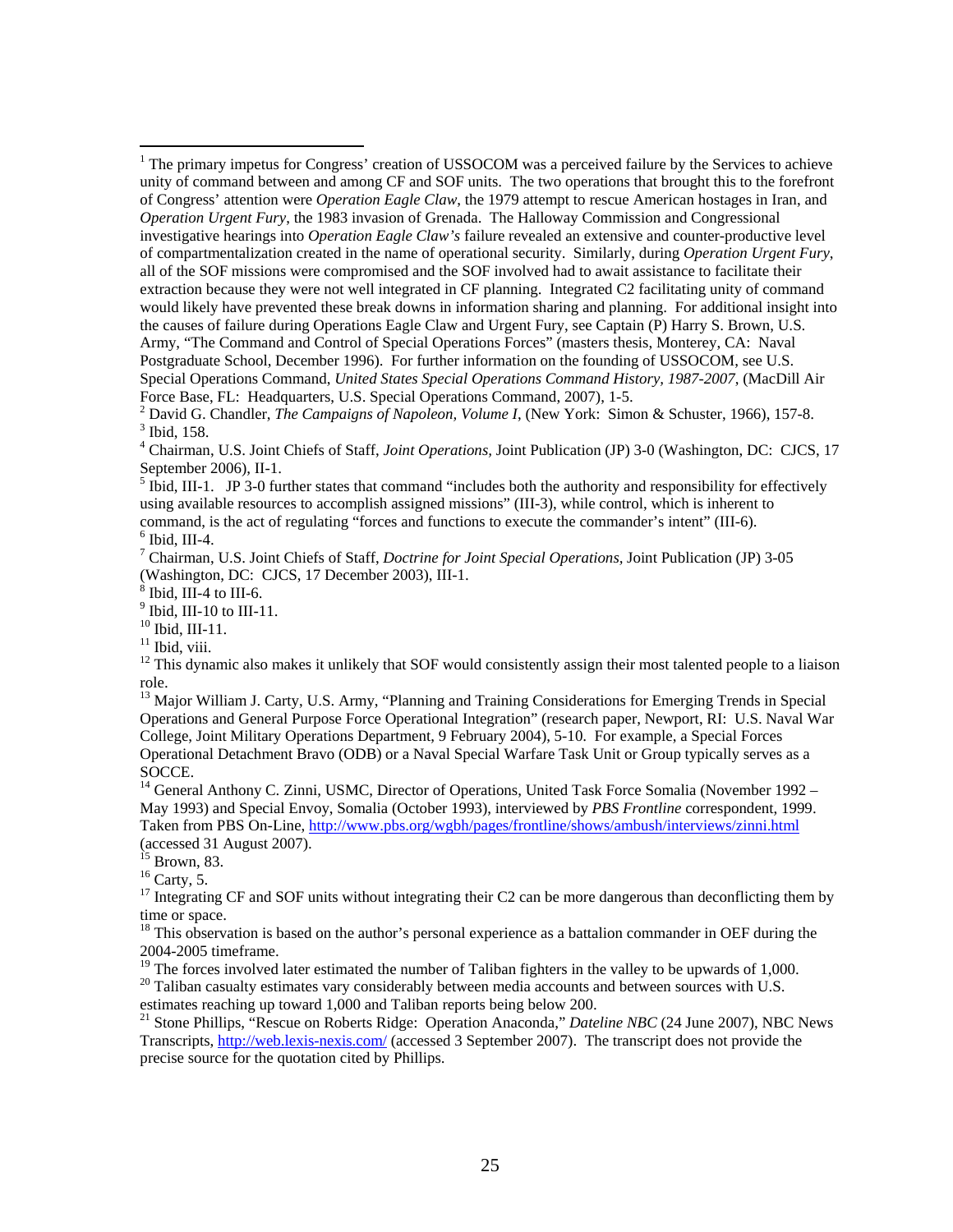September 2006), II-1.<br><sup>5</sup> Ibid, III-1. JP 3-0 further states that command "includes both the authority and responsibility for effectively using available resources to accomplish assigned missions" (III-3), while control, which is inherent to command, is the act of regulating "forces and functions to execute the commander's intent" (III-6).  $6$  Ibid, III-4.

7 Chairman, U.S. Joint Chiefs of Staff, *Doctrine for Joint Special Operations,* Joint Publication (JP) 3-05 (Washington, DC: CJCS, 17 December 2003), III-1.

Ibid, III-4 to III-6.

 $<sup>9</sup>$  Ibid, III-10 to III-11.</sup>

10 Ibid, III-11.

 $11$  Ibid, viii.

 $\overline{a}$ 

<sup>13</sup> Major William J. Carty, U.S. Army, "Planning and Training Considerations for Emerging Trends in Special Operations and General Purpose Force Operational Integration" (research paper, Newport, RI: U.S. Naval War College, Joint Military Operations Department, 9 February 2004), 5-10. For example, a Special Forces Operational Detachment Bravo (ODB) or a Naval Special Warfare Task Unit or Group typically serves as a SOCCE.

<sup>14</sup> General Anthony C. Zinni, USMC, Director of Operations, United Task Force Somalia (November 1992 – May 1993) and Special Envoy, Somalia (October 1993), interviewed by *PBS Frontline* correspondent, 1999. Taken from PBS On-Line, http://www.pbs.org/wgbh/pages/frontline/shows/ambush/interviews/zinni.html (accessed 31 August 2007).

 $15$  Brown, 83.

 $^{16}$  Carty, 5.

<sup>17</sup> Integrating CF and SOF units without integrating their C2 can be more dangerous than deconflicting them by time or space.

<sup>18</sup> This observation is based on the author's personal experience as a battalion commander in OEF during the 2004-2005 timeframe.

 $19$  The forces involved later estimated the number of Taliban fighters in the valley to be upwards of 1,000.

<sup>20</sup> Taliban casualty estimates vary considerably between media accounts and between sources with U.S. estimates reaching up toward 1,000 and Taliban reports being below 200.

21 Stone Phillips, "Rescue on Roberts Ridge: Operation Anaconda," *Dateline NBC* (24 June 2007), NBC News Transcripts, http://web.lexis-nexis.com/ (accessed 3 September 2007). The transcript does not provide the precise source for the quotation cited by Phillips.

<sup>&</sup>lt;sup>1</sup> The primary impetus for Congress' creation of USSOCOM was a perceived failure by the Services to achieve unity of command between and among CF and SOF units. The two operations that brought this to the forefront of Congress' attention were *Operation Eagle Claw*, the 1979 attempt to rescue American hostages in Iran, and *Operation Urgent Fury*, the 1983 invasion of Grenada. The Halloway Commission and Congressional investigative hearings into *Operation Eagle Claw's* failure revealed an extensive and counter-productive level of compartmentalization created in the name of operational security. Similarly, during *Operation Urgent Fury*, all of the SOF missions were compromised and the SOF involved had to await assistance to facilitate their extraction because they were not well integrated in CF planning. Integrated C2 facilitating unity of command would likely have prevented these break downs in information sharing and planning. For additional insight into the causes of failure during Operations Eagle Claw and Urgent Fury, see Captain (P) Harry S. Brown, U.S. Army, "The Command and Control of Special Operations Forces" (masters thesis, Monterey, CA: Naval Postgraduate School, December 1996). For further information on the founding of USSOCOM, see U.S. Special Operations Command, *United States Special Operations Command History, 1987-2007*, (MacDill Air Force Base, FL: Headquarters, U.S. Special Operations Command, 2007), 1-5.

<sup>&</sup>lt;sup>2</sup> David G. Chandler, *The Campaigns of Napoleon, Volume I*, (New York: Simon & Schuster, 1966), 157-8. 3 Thid. 158  $3$  Ibid, 158.

<sup>4</sup> Chairman, U.S. Joint Chiefs of Staff, *Joint Operations,* Joint Publication (JP) 3-0 (Washington, DC: CJCS, 17

 $12$  This dynamic also makes it unlikely that SOF would consistently assign their most talented people to a liaison role.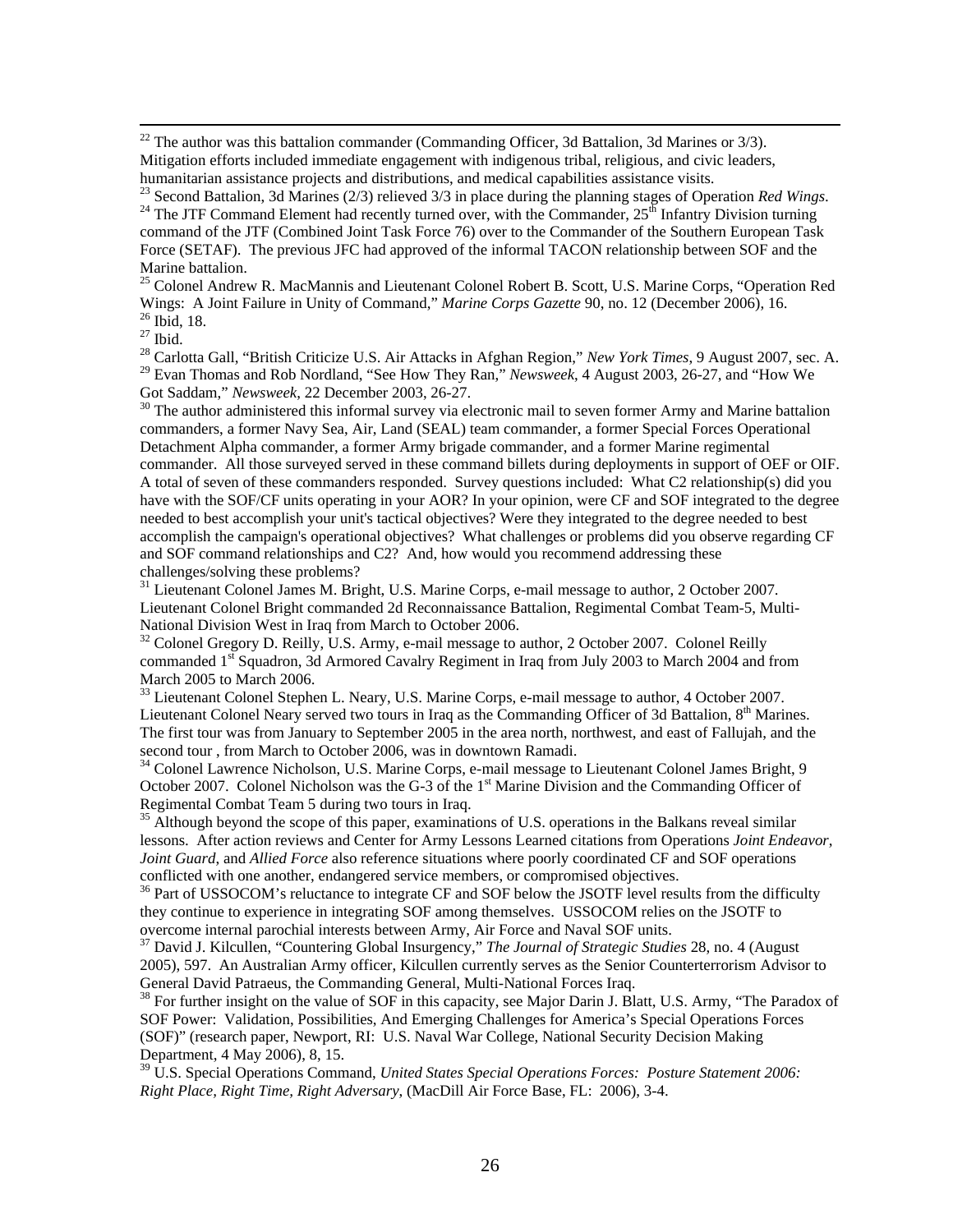$22$  The author was this battalion commander (Commanding Officer, 3d Battalion, 3d Marines or 3/3). Mitigation efforts included immediate engagement with indigenous tribal, religious, and civic leaders, humanitarian assistance projects and distributions, and medical capabilities assistance visits.<br><sup>23</sup> Second Battalion, 3d Marines (2/3) relieved 3/3 in place during the planning stages of Operation *Red Wings*.

<sup>24</sup> The JTF Command Element had recently turned over, with the Commander, 25<sup>th</sup> Infantry Division turning command of the JTF (Combined Joint Task Force 76) over to the Commander of the Southern European Task Force (SETAF). The previous JFC had approved of the informal TACON relationship between SOF and the Marine battalion.

<sup>25</sup> Colonel Andrew R. MacMannis and Lieutenant Colonel Robert B. Scott, U.S. Marine Corps, "Operation Red Wings: A Joint Failure in Unity of Command," *Marine Corps Gazette* 90, no. 12 (December 2006), 16. 26 Ibid, 18.

 $^{27}$  Ibid.

28 Carlotta Gall, "British Criticize U.S. Air Attacks in Afghan Region," *New York Times*, 9 August 2007, sec. A. 29 Evan Thomas and Rob Nordland, "See How They Ran," *Newsweek*, 4 August 2003, 26-27, and "How We Got Saddam," *Newsweek*, 22 December 2003, 26-27.<br><sup>30</sup> The author administered this informal survey via electronic mail to seven former Army and Marine battalion

commanders, a former Navy Sea, Air, Land (SEAL) team commander, a former Special Forces Operational Detachment Alpha commander, a former Army brigade commander, and a former Marine regimental commander. All those surveyed served in these command billets during deployments in support of OEF or OIF. A total of seven of these commanders responded. Survey questions included: What C2 relationship(s) did you have with the SOF/CF units operating in your AOR? In your opinion, were CF and SOF integrated to the degree needed to best accomplish your unit's tactical objectives? Were they integrated to the degree needed to best accomplish the campaign's operational objectives? What challenges or problems did you observe regarding CF and SOF command relationships and C2? And, how would you recommend addressing these challenges/solving these problems?

<sup>31</sup> Lieutenant Colonel James M. Bright, U.S. Marine Corps, e-mail message to author, 2 October 2007. Lieutenant Colonel Bright commanded 2d Reconnaissance Battalion, Regimental Combat Team-5, Multi-National Division West in Iraq from March to October 2006.

 $32$  Colonel Gregory D. Reilly, U.S. Army, e-mail message to author, 2 October 2007. Colonel Reilly commanded 1<sup>st</sup> Squadron, 3d Armored Cavalry Regiment in Iraq from July 2003 to March 2004 and from March 2005 to March 2006.

<sup>33</sup> Lieutenant Colonel Stephen L. Neary, U.S. Marine Corps, e-mail message to author, 4 October 2007. Lieutenant Colonel Neary served two tours in Iraq as the Commanding Officer of 3d Battalion,  $8<sup>th</sup>$  Marines. The first tour was from January to September 2005 in the area north, northwest, and east of Fallujah, and the second tour , from March to October 2006, was in downtown Ramadi.

<sup>34</sup> Colonel Lawrence Nicholson, U.S. Marine Corps, e-mail message to Lieutenant Colonel James Bright, 9 October 2007. Colonel Nicholson was the G-3 of the 1<sup>st</sup> Marine Division and the Commanding Officer of Regimental Combat Team 5 during two tours in Iraq.

<sup>35</sup> Although beyond the scope of this paper, examinations of U.S. operations in the Balkans reveal similar lessons. After action reviews and Center for Army Lessons Learned citations from Operations *Joint Endeavor*, *Joint Guard*, and *Allied Force* also reference situations where poorly coordinated CF and SOF operations conflicted with one another, endangered service members, or compromised objectives.<br><sup>36</sup> Part of USSOCOM's reluctance to integrate CF and SOF below the JSOTF level results from the difficulty

they continue to experience in integrating SOF among themselves. USSOCOM relies on the JSOTF to overcome internal parochial interests between Army, Air Force and Naval SOF units.

37 David J. Kilcullen, "Countering Global Insurgency," *The Journal of Strategic Studies* 28, no. 4 (August 2005), 597. An Australian Army officer, Kilcullen currently serves as the Senior Counterterrorism Advisor to General David Patraeus, the Commanding General, Multi-National Forces Iraq.

 $38$  For further insight on the value of SOF in this capacity, see Major Darin J. Blatt, U.S. Army, "The Paradox of SOF Power: Validation, Possibilities, And Emerging Challenges for America's Special Operations Forces (SOF)" (research paper, Newport, RI: U.S. Naval War College, National Security Decision Making Department, 4 May 2006), 8, 15.

39 U.S. Special Operations Command, *United States Special Operations Forces: Posture Statement 2006: Right Place, Right Time, Right Adversary*, (MacDill Air Force Base, FL: 2006), 3-4.